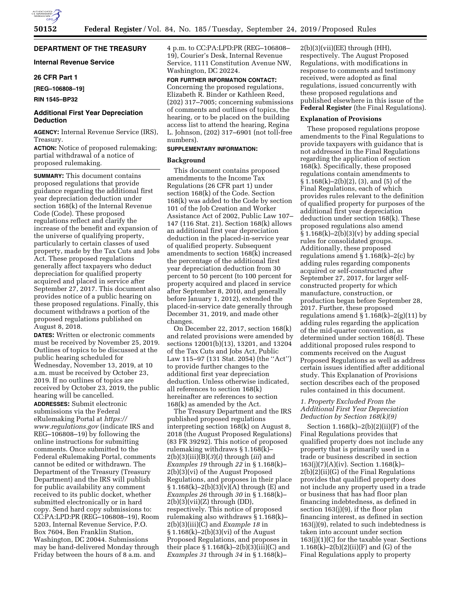# **DEPARTMENT OF THE TREASURY**

## **Internal Revenue Service**

# **26 CFR Part 1**

**[REG–106808–19]** 

```
RIN 1545–BP32
```
# **Additional First Year Depreciation Deduction**

**AGENCY:** Internal Revenue Service (IRS), Treasury.

**ACTION:** Notice of proposed rulemaking; partial withdrawal of a notice of proposed rulemaking.

**SUMMARY:** This document contains proposed regulations that provide guidance regarding the additional first year depreciation deduction under section 168(k) of the Internal Revenue Code (Code). These proposed regulations reflect and clarify the increase of the benefit and expansion of the universe of qualifying property, particularly to certain classes of used property, made by the Tax Cuts and Jobs Act. These proposed regulations generally affect taxpayers who deduct depreciation for qualified property acquired and placed in service after September 27, 2017. This document also provides notice of a public hearing on these proposed regulations. Finally, this document withdraws a portion of the proposed regulations published on August 8, 2018.

**DATES:** Written or electronic comments must be received by November 25, 2019. Outlines of topics to be discussed at the public hearing scheduled for Wednesday, November 13, 2019, at 10 a.m. must be received by October 23, 2019. If no outlines of topics are received by October 23, 2019, the public hearing will be cancelled.

**ADDRESSES:** Submit electronic submissions via the Federal eRulemaking Portal at *[https://](https://www.regulations.gov) [www.regulations.gov](https://www.regulations.gov)* (indicate IRS and REG–106808–19) by following the online instructions for submitting comments. Once submitted to the Federal eRulemaking Portal, comments cannot be edited or withdrawn. The Department of the Treasury (Treasury Department) and the IRS will publish for public availability any comment received to its public docket, whether submitted electronically or in hard copy. Send hard copy submissions to: CC:PA:LPD:PR (REG–106808–19), Room 5203, Internal Revenue Service, P.O. Box 7604, Ben Franklin Station, Washington, DC 20044. Submissions may be hand-delivered Monday through Friday between the hours of 8 a.m. and

4 p.m. to CC:PA:LPD:PR (REG–106808– 19), Courier's Desk, Internal Revenue Service, 1111 Constitution Avenue NW, Washington, DC 20224.

**FOR FURTHER INFORMATION CONTACT:**  Concerning the proposed regulations, Elizabeth R. Binder or Kathleen Reed, (202) 317–7005; concerning submissions of comments and outlines of topics, the hearing, or to be placed on the building access list to attend the hearing, Regina L. Johnson, (202) 317–6901 (not toll-free numbers).

### **SUPPLEMENTARY INFORMATION:**

# **Background**

This document contains proposed amendments to the Income Tax Regulations (26 CFR part 1) under section 168(k) of the Code. Section 168(k) was added to the Code by section 101 of the Job Creation and Worker Assistance Act of 2002, Public Law 107– 147 (116 Stat. 21). Section 168(k) allows an additional first year depreciation deduction in the placed-in-service year of qualified property. Subsequent amendments to section 168(k) increased the percentage of the additional first year depreciation deduction from 30 percent to 50 percent (to 100 percent for property acquired and placed in service after September 8, 2010, and generally before January 1, 2012), extended the placed-in-service date generally through December 31, 2019, and made other changes.

On December 22, 2017, section 168(k) and related provisions were amended by sections 12001(b)(13), 13201, and 13204 of the Tax Cuts and Jobs Act, Public Law 115–97 (131 Stat. 2054) (the ''Act'') to provide further changes to the additional first year depreciation deduction. Unless otherwise indicated, all references to section 168(k) hereinafter are references to section 168(k) as amended by the Act.

The Treasury Department and the IRS published proposed regulations interpreting section 168(k) on August 8, 2018 (the August Proposed Regulations) (83 FR 39292). This notice of proposed rulemaking withdraws § 1.168(k)– 2(b)(3)(iii)(B)(*3*)(*i*) through (*iii*) and *Examples 19* through *22* in § 1.168(k)– 2(b)(3)(vi) of the August Proposed Regulations, and proposes in their place  $\S 1.168(k) - 2(b)(3)(v)(A)$  through (E) and *Examples 26* through *30* in § 1.168(k)–  $2(b)(3)(vii)(Z)$  through (DD), respectively. This notice of proposed rulemaking also withdraws § 1.168(k)– 2(b)(3)(iii)(C) and *Example 18* in § 1.168(k)–2(b)(3)(vi) of the August Proposed Regulations, and proposes in their place  $\S 1.168(k) - 2(b)(3)(iii)(C)$  and *Examples 31* through *34* in § 1.168(k)–

 $2(b)(3)(vii)(EE)$  through (HH), respectively. The August Proposed Regulations, with modifications in response to comments and testimony received, were adopted as final regulations, issued concurrently with these proposed regulations and published elsewhere in this issue of the **Federal Register** (the Final Regulations).

### **Explanation of Provisions**

These proposed regulations propose amendments to the Final Regulations to provide taxpayers with guidance that is not addressed in the Final Regulations regarding the application of section 168(k). Specifically, these proposed regulations contain amendments to § 1.168(k)–2(b)(2), (3), and (5) of the Final Regulations, each of which provides rules relevant to the definition of qualified property for purposes of the additional first year depreciation deduction under section 168(k). These proposed regulations also amend  $\S 1.168(k) - 2(b)(3)(v)$  by adding special rules for consolidated groups. Additionally, these proposed regulations amend  $\S 1.168(k) - 2(c)$  by adding rules regarding components acquired or self-constructed after September 27, 2017, for larger selfconstructed property for which manufacture, construction, or production began before September 28, 2017. Further, these proposed regulations amend  $\S 1.168(k) - 2(g)(11)$  by adding rules regarding the application of the mid-quarter convention, as determined under section 168(d). These additional proposed rules respond to comments received on the August Proposed Regulations as well as address certain issues identified after additional study. This Explanation of Provisions section describes each of the proposed rules contained in this document.

# *1. Property Excluded From the Additional First Year Depreciation Deduction by Section 168(k)(9)*

Section 1.168(k)–2(b)(2)(ii)(F) of the Final Regulations provides that qualified property does not include any property that is primarily used in a trade or business described in section 163(j)(7)(A)(iv). Section 1.168(k)–  $2(b)(2)(ii)(G)$  of the Final Regulations provides that qualified property does not include any property used in a trade or business that has had floor plan financing indebtedness, as defined in section 163(j)(9), if the floor plan financing interest, as defined in section 163(j)(9), related to such indebtedness is taken into account under section 163(j)(1)(C) for the taxable year. Sections 1.168(k)–2(b)(2)(ii)(F) and (G) of the Final Regulations apply to property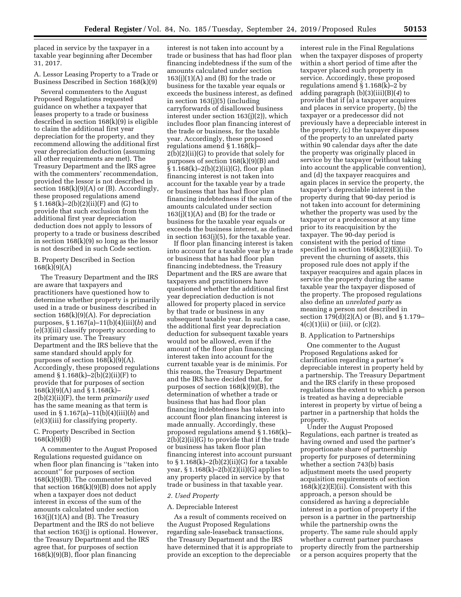placed in service by the taxpayer in a taxable year beginning after December 31, 2017.

A. Lessor Leasing Property to a Trade or Business Described in Section 168(k)(9)

Several commenters to the August Proposed Regulations requested guidance on whether a taxpayer that leases property to a trade or business described in section 168(k)(9) is eligible to claim the additional first year depreciation for the property, and they recommend allowing the additional first year depreciation deduction (assuming all other requirements are met). The Treasury Department and the IRS agree with the commenters' recommendation, provided the lessor is not described in section  $168(k)(9)(A)$  or (B). Accordingly, these proposed regulations amend § 1.168(k)–2(b)(2)(ii)(F) and (G) to provide that such exclusion from the additional first year depreciation deduction does not apply to lessors of property to a trade or business described in section 168(k)(9) so long as the lessor is not described in such Code section.

# B. Property Described in Section 168(k)(9)(A)

The Treasury Department and the IRS are aware that taxpayers and practitioners have questioned how to determine whether property is primarily used in a trade or business described in section 168(k)(9)(A). For depreciation purposes, § 1.167(a)–11(b)(4)(iii)(*b*) and (e)(3)(iii) classify property according to its primary use. The Treasury Department and the IRS believe that the same standard should apply for purposes of section 168(k)(9)(A). Accordingly, these proposed regulations amend  $\S 1.168(k) - 2(b)(2)(ii)(F)$  to provide that for purposes of section 168(k)(9)(A) and § 1.168(k)– 2(b)(2)(ii)(F), the term *primarily used*  has the same meaning as that term is used in § 1.167(a)–11(b)(4)(iii)(*b*) and (e)(3)(iii) for classifying property.

# C. Property Described in Section 168(k)(9)(B)

A commenter to the August Proposed Regulations requested guidance on when floor plan financing is ''taken into account'' for purposes of section 168(k)(9)(B). The commenter believed that section  $168(k)(9)(B)$  does not apply when a taxpayer does not deduct interest in excess of the sum of the amounts calculated under section  $163(j)(1)(A)$  and  $(B)$ . The Treasury Department and the IRS do not believe that section 163(j) is optional. However, the Treasury Department and the IRS agree that, for purposes of section 168(k)(9)(B), floor plan financing

interest is not taken into account by a trade or business that has had floor plan financing indebtedness if the sum of the amounts calculated under section  $163(j)(1)(A)$  and  $(B)$  for the trade or business for the taxable year equals or exceeds the business interest, as defined in section 163(j)(5) (including carryforwards of disallowed business interest under section 163(j)(2)), which includes floor plan financing interest of the trade or business, for the taxable year. Accordingly, these proposed regulations amend § 1.168(k)– 2(b)(2)(ii)(G) to provide that solely for purposes of section 168(k)(9)(B) and § 1.168(k)–2(b)(2)(ii)(G), floor plan financing interest is not taken into account for the taxable year by a trade or business that has had floor plan financing indebtedness if the sum of the amounts calculated under section  $163(j)(1)(A)$  and  $(B)$  for the trade or business for the taxable year equals or exceeds the business interest, as defined in section 163(j)(5), for the taxable year.

If floor plan financing interest is taken into account for a taxable year by a trade or business that has had floor plan financing indebtedness, the Treasury Department and the IRS are aware that taxpayers and practitioners have questioned whether the additional first year depreciation deduction is not allowed for property placed in service by that trade or business in any subsequent taxable year. In such a case, the additional first year depreciation deduction for subsequent taxable years would not be allowed, even if the amount of the floor plan financing interest taken into account for the current taxable year is de minimis. For this reason, the Treasury Department and the IRS have decided that, for purposes of section 168(k)(9)(B), the determination of whether a trade or business that has had floor plan financing indebtedness has taken into account floor plan financing interest is made annually. Accordingly, these proposed regulations amend § 1.168(k)– 2(b)(2)(ii)(G) to provide that if the trade or business has taken floor plan financing interest into account pursuant to  $§ 1.168(k)-2(b)(2)(ii)(G)$  for a taxable year,  $§ 1.168(k)-2(b)(2)(ii)(G)$  applies to any property placed in service by that trade or business in that taxable year.

# *2. Used Property*

### A. Depreciable Interest

As a result of comments received on the August Proposed Regulations regarding sale-leaseback transactions, the Treasury Department and the IRS have determined that it is appropriate to provide an exception to the depreciable

interest rule in the Final Regulations when the taxpayer disposes of property within a short period of time after the taxpayer placed such property in service. Accordingly, these proposed regulations amend § 1.168(k)–2 by adding paragraph (b)(3)(iii)(B)(*4*) to provide that if (a) a taxpayer acquires and places in service property, (b) the taxpayer or a predecessor did not previously have a depreciable interest in the property, (c) the taxpayer disposes of the property to an unrelated party within 90 calendar days after the date the property was originally placed in service by the taxpayer (without taking into account the applicable convention), and (d) the taxpayer reacquires and again places in service the property, the taxpayer's depreciable interest in the property during that 90-day period is not taken into account for determining whether the property was used by the taxpayer or a predecessor at any time prior to its reacquisition by the taxpayer. The 90-day period is consistent with the period of time specified in section 168(k)(2)(E)(iii). To prevent the churning of assets, this proposed rule does not apply if the taxpayer reacquires and again places in service the property during the same taxable year the taxpayer disposed of the property. The proposed regulations also define an *unrelated party* as meaning a person not described in section 179(d)(2)(A) or (B), and § 1.179–  $4(c)(1)(ii)$  or (iii), or (c)(2).

### B. Application to Partnerships

One commenter to the August Proposed Regulations asked for clarification regarding a partner's depreciable interest in property held by a partnership. The Treasury Department and the IRS clarify in these proposed regulations the extent to which a person is treated as having a depreciable interest in property by virtue of being a partner in a partnership that holds the property.

Under the August Proposed Regulations, each partner is treated as having owned and used the partner's proportionate share of partnership property for purposes of determining whether a section 743(b) basis adjustment meets the used property acquisition requirements of section  $168(k)(2)(E)(ii)$ . Consistent with this approach, a person should be considered as having a depreciable interest in a portion of property if the person is a partner in the partnership while the partnership owns the property. The same rule should apply whether a current partner purchases property directly from the partnership or a person acquires property that the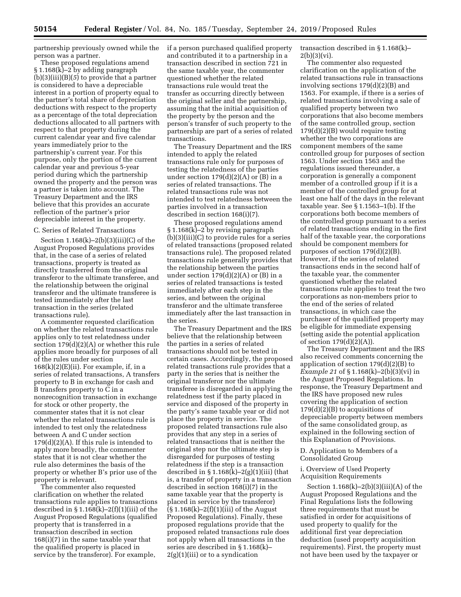partnership previously owned while the person was a partner.

These proposed regulations amend § 1.168(k)–2 by adding paragraph (b)(3)(iii)(B)(*5*) to provide that a partner is considered to have a depreciable interest in a portion of property equal to the partner's total share of depreciation deductions with respect to the property as a percentage of the total depreciation deductions allocated to all partners with respect to that property during the current calendar year and five calendar years immediately prior to the partnership's current year. For this purpose, only the portion of the current calendar year and previous 5-year period during which the partnership owned the property and the person was a partner is taken into account. The Treasury Department and the IRS believe that this provides an accurate reflection of the partner's prior depreciable interest in the property.

# C. Series of Related Transactions

Section  $1.168(k)-2(b)(3)(iii)(C)$  of the August Proposed Regulations provides that, in the case of a series of related transactions, property is treated as directly transferred from the original transferor to the ultimate transferee, and the relationship between the original transferor and the ultimate transferee is tested immediately after the last transaction in the series (related transactions rule).

A commenter requested clarification on whether the related transactions rule applies only to test relatedness under section 179(d)(2)(A) or whether this rule applies more broadly for purposes of all of the rules under section  $168(k)(2)$ (E)(ii). For example, if, in a series of related transactions, A transfers property to B in exchange for cash and B transfers property to C in a nonrecognition transaction in exchange for stock or other property, the commenter states that it is not clear whether the related transactions rule is intended to test only the relatedness between A and C under section  $179(d)(2)(A)$ . If this rule is intended to apply more broadly, the commenter states that it is not clear whether the rule also determines the basis of the property or whether B's prior use of the property is relevant.

The commenter also requested clarification on whether the related transactions rule applies to transactions described in  $\S 1.168(k) - 2(f)(1)(iii)$  of the August Proposed Regulations (qualified property that is transferred in a transaction described in section 168(i)(7) in the same taxable year that the qualified property is placed in service by the transferor). For example,

if a person purchased qualified property and contributed it to a partnership in a transaction described in section 721 in the same taxable year, the commenter questioned whether the related transactions rule would treat the transfer as occurring directly between the original seller and the partnership, assuming that the initial acquisition of the property by the person and the person's transfer of such property to the partnership are part of a series of related transactions.

The Treasury Department and the IRS intended to apply the related transactions rule only for purposes of testing the relatedness of the parties under section  $179(d)(2)(A)$  or  $(B)$  in a series of related transactions. The related transactions rule was not intended to test relatedness between the parties involved in a transaction described in section 168(i)(7).

These proposed regulations amend § 1.168(k)–2 by revising paragraph (b)(3)(iii)(C) to provide rules for a series of related transactions (proposed related transactions rule). The proposed related transactions rule generally provides that the relationship between the parties under section  $179(d)(2)(A)$  or  $(B)$  in a series of related transactions is tested immediately after each step in the series, and between the original transferor and the ultimate transferee immediately after the last transaction in the series.

The Treasury Department and the IRS believe that the relationship between the parties in a series of related transactions should not be tested in certain cases. Accordingly, the proposed related transactions rule provides that a party in the series that is neither the original transferor nor the ultimate transferee is disregarded in applying the relatedness test if the party placed in service and disposed of the property in the party's same taxable year or did not place the property in service. The proposed related transactions rule also provides that any step in a series of related transactions that is neither the original step nor the ultimate step is disregarded for purposes of testing relatedness if the step is a transaction described in  $\S 1.168(k) - 2(g)(1)(iii)$  (that is, a transfer of property in a transaction described in section 168(i)(7) in the same taxable year that the property is placed in service by the transferor)  $(\S 1.168(k) - 2(f)(1)(iii)$  of the August Proposed Regulations). Finally, these proposed regulations provide that the proposed related transactions rule does not apply when all transactions in the series are described in § 1.168(k)–  $2(g)(1)(iii)$  or to a syndication

transaction described in § 1.168(k)–  $2(b)(3)(vi)$ .

The commenter also requested clarification on the application of the related transactions rule in transactions involving sections 179(d)(2)(B) and 1563. For example, if there is a series of related transactions involving a sale of qualified property between two corporations that also become members of the same controlled group, section 179(d)(2)(B) would require testing whether the two corporations are component members of the same controlled group for purposes of section 1563. Under section 1563 and the regulations issued thereunder, a corporation is generally a component member of a controlled group if it is a member of the controlled group for at least one half of the days in the relevant taxable year. See § 1.1563–1(b). If the corporations both become members of the controlled group pursuant to a series of related transactions ending in the first half of the taxable year, the corporations should be component members for purposes of section 179(d)(2)(B). However, if the series of related transactions ends in the second half of the taxable year, the commenter questioned whether the related transactions rule applies to treat the two corporations as non-members prior to the end of the series of related transactions, in which case the purchaser of the qualified property may be eligible for immediate expensing (setting aside the potential application of section  $179(d)(2)(A)$ .

The Treasury Department and the IRS also received comments concerning the application of section  $179(d)(2)(B)$  to *Example 21* of § 1.168(k)–2(b)(3)(vi) in the August Proposed Regulations. In response, the Treasury Department and the IRS have proposed new rules covering the application of section  $179(d)(2)(B)$  to acquisitions of depreciable property between members of the same consolidated group, as explained in the following section of this Explanation of Provisions.

D. Application to Members of a Consolidated Group

i. Overview of Used Property Acquisition Requirements

Section  $1.168(k)-2(b)(3)(iii)(A)$  of the August Proposed Regulations and the Final Regulations lists the following three requirements that must be satisfied in order for acquisitions of used property to qualify for the additional first year depreciation deduction (used property acquisition requirements). First, the property must not have been used by the taxpayer or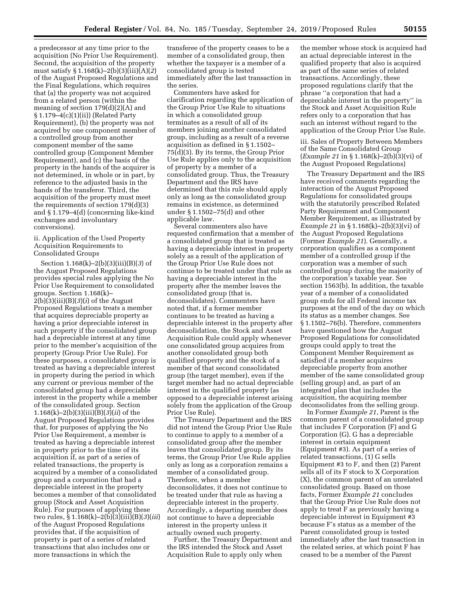a predecessor at any time prior to the acquisition (No Prior Use Requirement). Second, the acquisition of the property must satisfy § 1.168(k)–2(b)(3)(iii)(A)(*2*) of the August Proposed Regulations and the Final Regulations, which requires that (a) the property was not acquired from a related person (within the meaning of section 179(d)(2)(A) and § 1.179–4(c)(1)(ii)) (Related Party Requirement), (b) the property was not acquired by one component member of a controlled group from another component member of the same controlled group (Component Member Requirement), and (c) the basis of the property in the hands of the acquirer is not determined, in whole or in part, by reference to the adjusted basis in the hands of the transferor. Third, the acquisition of the property must meet the requirements of section 179(d)(3) and § 1.179–4(d) (concerning like-kind exchanges and involuntary conversions).

## ii. Application of the Used Property Acquisition Requirements to Consolidated Groups

Section 1.168(k)–2(b)(3)(iii)(B)(*3*) of the August Proposed Regulations provides special rules applying the No Prior Use Requirement to consolidated groups. Section 1.168(k)– 2(b)(3)(iii)(B)(*3*)(*i*) of the August Proposed Regulations treats a member that acquires depreciable property as having a prior depreciable interest in such property if the consolidated group had a depreciable interest at any time prior to the member's acquisition of the property (Group Prior Use Rule). For these purposes, a consolidated group is treated as having a depreciable interest in property during the period in which any current or previous member of the consolidated group had a depreciable interest in the property while a member of the consolidated group. Section 1.168(k)–2(b)(3)(iii)(B)(*3*)(*ii*) of the August Proposed Regulations provides that, for purposes of applying the No Prior Use Requirement, a member is treated as having a depreciable interest in property prior to the time of its acquisition if, as part of a series of related transactions, the property is acquired by a member of a consolidated group and a corporation that had a depreciable interest in the property becomes a member of that consolidated group (Stock and Asset Acquisition Rule). For purposes of applying these two rules, § 1.168(k)–2(b)(3)(iii)(B)(*3*)(*iii*) of the August Proposed Regulations provides that, if the acquisition of property is part of a series of related transactions that also includes one or more transactions in which the

transferee of the property ceases to be a member of a consolidated group, then whether the taxpayer is a member of a consolidated group is tested immediately after the last transaction in the series.

Commenters have asked for clarification regarding the application of the Group Prior Use Rule to situations in which a consolidated group terminates as a result of all of its members joining another consolidated group, including as a result of a reverse acquisition as defined in § 1.1502– 75(d)(3). By its terms, the Group Prior Use Rule applies only to the acquisition of property by a member of a consolidated group. Thus, the Treasury Department and the IRS have determined that this rule should apply only as long as the consolidated group remains in existence, as determined under § 1.1502–75(d) and other applicable law.

Several commenters also have requested confirmation that a member of a consolidated group that is treated as having a depreciable interest in property solely as a result of the application of the Group Prior Use Rule does not continue to be treated under that rule as having a depreciable interest in the property after the member leaves the consolidated group (that is, deconsolidates). Commenters have noted that, if a former member continues to be treated as having a depreciable interest in the property after deconsolidation, the Stock and Asset Acquisition Rule could apply whenever one consolidated group acquires from another consolidated group both qualified property and the stock of a member of that second consolidated group (the target member), even if the target member had no actual depreciable interest in the qualified property (as opposed to a depreciable interest arising solely from the application of the Group Prior Use Rule).

The Treasury Department and the IRS did not intend the Group Prior Use Rule to continue to apply to a member of a consolidated group after the member leaves that consolidated group. By its terms, the Group Prior Use Rule applies only as long as a corporation remains a member of a consolidated group. Therefore, when a member deconsolidates, it does not continue to be treated under that rule as having a depreciable interest in the property. Accordingly, a departing member does not continue to have a depreciable interest in the property unless it actually owned such property.

Further, the Treasury Department and the IRS intended the Stock and Asset Acquisition Rule to apply only when

the member whose stock is acquired had an actual depreciable interest in the qualified property that also is acquired as part of the same series of related transactions. Accordingly, these proposed regulations clarify that the phrase ''a corporation that had a depreciable interest in the property'' in the Stock and Asset Acquisition Rule refers only to a corporation that has such an interest without regard to the application of the Group Prior Use Rule.

iii. Sales of Property Between Members of the Same Consolidated Group (*Example 21* in § 1.168(k)–2(b)(3)(vi) of the August Proposed Regulations)

The Treasury Department and the IRS have received comments regarding the interaction of the August Proposed Regulations for consolidated groups with the statutorily prescribed Related Party Requirement and Component Member Requirement, as illustrated by *Example 21* in § 1.168(k)–2(b)(3)(vi) of the August Proposed Regulations (Former *Example 21*). Generally, a corporation qualifies as a component member of a controlled group if the corporation was a member of such controlled group during the majority of the corporation's taxable year. See section 1563(b). In addition, the taxable year of a member of a consolidated group ends for all Federal income tax purposes at the end of the day on which its status as a member changes. See § 1.1502–76(b). Therefore, commenters have questioned how the August Proposed Regulations for consolidated groups could apply to treat the Component Member Requirement as satisfied if a member acquires depreciable property from another member of the same consolidated group (selling group) and, as part of an integrated plan that includes the acquisition, the acquiring member deconsolidates from the selling group.

In Former *Example 21,* Parent is the common parent of a consolidated group that includes F Corporation (F) and G Corporation (G). G has a depreciable interest in certain equipment (Equipment #3). As part of a series of related transactions, (1) G sells Equipment #3 to F, and then (2) Parent sells all of its F stock to X Corporation (X), the common parent of an unrelated consolidated group. Based on those facts, Former *Example 21* concludes that the Group Prior Use Rule does not apply to treat F as previously having a depreciable interest in Equipment #3 because F's status as a member of the Parent consolidated group is tested immediately after the last transaction in the related series, at which point F has ceased to be a member of the Parent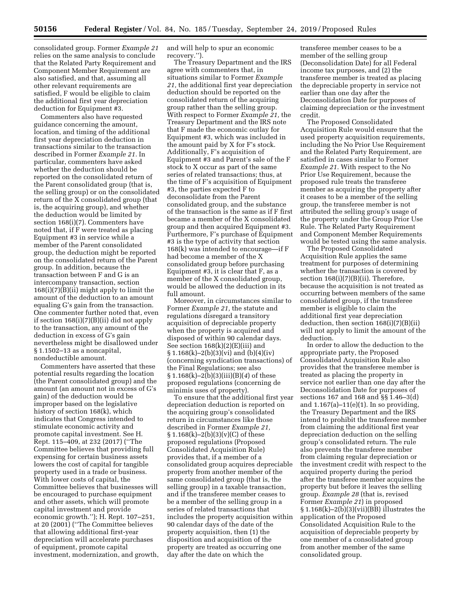consolidated group. Former *Example 21*  relies on the same analysis to conclude that the Related Party Requirement and Component Member Requirement are also satisfied, and that, assuming all other relevant requirements are satisfied, F would be eligible to claim the additional first year depreciation deduction for Equipment #3.

Commenters also have requested guidance concerning the amount, location, and timing of the additional first year depreciation deduction in transactions similar to the transaction described in Former *Example 21.* In particular, commenters have asked whether the deduction should be reported on the consolidated return of the Parent consolidated group (that is, the selling group) or on the consolidated return of the X consolidated group (that is, the acquiring group), and whether the deduction would be limited by section 168(i)(7). Commenters have noted that, if F were treated as placing Equipment #3 in service while a member of the Parent consolidated group, the deduction might be reported on the consolidated return of the Parent group. In addition, because the transaction between F and G is an intercompany transaction, section 168(i)(7)(B)(ii) might apply to limit the amount of the deduction to an amount equaling G's gain from the transaction. One commenter further noted that, even if section 168(i)(7)(B)(ii) did not apply to the transaction, any amount of the deduction in excess of G's gain nevertheless might be disallowed under § 1.1502–13 as a noncapital, nondeductible amount.

Commenters have asserted that these potential results regarding the location (the Parent consolidated group) and the amount (an amount not in excess of G's gain) of the deduction would be improper based on the legislative history of section 168(k), which indicates that Congress intended to stimulate economic activity and promote capital investment. See H. Rept. 115–409, at 232 (2017) (''The Committee believes that providing full expensing for certain business assets lowers the cost of capital for tangible property used in a trade or business. With lower costs of capital, the Committee believes that businesses will be encouraged to purchase equipment and other assets, which will promote capital investment and provide economic growth.''); H. Rept. 107–251, at 20 (2001) (''The Committee believes that allowing additional first-year depreciation will accelerate purchases of equipment, promote capital investment, modernization, and growth, and will help to spur an economic recovery.'').

The Treasury Department and the IRS agree with commenters that, in situations similar to Former *Example 21,* the additional first year depreciation deduction should be reported on the consolidated return of the acquiring group rather than the selling group. With respect to Former *Example 21,* the Treasury Department and the IRS note that F made the economic outlay for Equipment #3, which was included in the amount paid by X for F's stock. Additionally, F's acquisition of Equipment #3 and Parent's sale of the F stock to X occur as part of the same series of related transactions; thus, at the time of F's acquisition of Equipment #3, the parties expected F to deconsolidate from the Parent consolidated group, and the substance of the transaction is the same as if F first became a member of the X consolidated group and then acquired Equipment #3. Furthermore, F's purchase of Equipment #3 is the type of activity that section 168(k) was intended to encourage—if F had become a member of the X consolidated group before purchasing Equipment #3, it is clear that F, as a member of the X consolidated group, would be allowed the deduction in its full amount.

Moreover, in circumstances similar to Former *Example 21,* the statute and regulations disregard a transitory acquisition of depreciable property when the property is acquired and disposed of within 90 calendar days. See section 168(k)(2)(E)(iii) and  $\S 1.168(k) - 2(b)(3)(vi)$  and  $(b)(4)(iv)$ (concerning syndication transactions) of the Final Regulations; see also § 1.168(k)–2(b)(3)(iii)(B)(*4*) of these proposed regulations (concerning de minimis uses of property).

To ensure that the additional first year depreciation deduction is reported on the acquiring group's consolidated return in circumstances like those described in Former *Example 21,*   $\S 1.168(k) - 2(b)(3)(v)(C)$  of these proposed regulations (Proposed Consolidated Acquisition Rule) provides that, if a member of a consolidated group acquires depreciable property from another member of the same consolidated group (that is, the selling group) in a taxable transaction, and if the transferee member ceases to be a member of the selling group in a series of related transactions that includes the property acquisition within 90 calendar days of the date of the property acquisition, then (1) the disposition and acquisition of the property are treated as occurring one day after the date on which the

transferee member ceases to be a member of the selling group (Deconsolidation Date) for all Federal income tax purposes, and (2) the transferee member is treated as placing the depreciable property in service not earlier than one day after the Deconsolidation Date for purposes of claiming depreciation or the investment credit.

The Proposed Consolidated Acquisition Rule would ensure that the used property acquisition requirements, including the No Prior Use Requirement and the Related Party Requirement, are satisfied in cases similar to Former *Example 21.* With respect to the No Prior Use Requirement, because the proposed rule treats the transferee member as acquiring the property after it ceases to be a member of the selling group, the transferee member is not attributed the selling group's usage of the property under the Group Prior Use Rule. The Related Party Requirement and Component Member Requirements would be tested using the same analysis.

The Proposed Consolidated Acquisition Rule applies the same treatment for purposes of determining whether the transaction is covered by section 168(i)(7)(B)(ii). Therefore, because the acquisition is not treated as occurring between members of the same consolidated group, if the transferee member is eligible to claim the additional first year depreciation deduction, then section 168(i)(7)(B)(ii) will not apply to limit the amount of the deduction.

In order to allow the deduction to the appropriate party, the Proposed Consolidated Acquisition Rule also provides that the transferee member is treated as placing the property in service not earlier than one day after the Deconsolidation Date for purposes of sections 167 and 168 and §§ 1.46–3(d) and  $1.167(a)-11(e)(1)$ . In so providing, the Treasury Department and the IRS intend to prohibit the transferee member from claiming the additional first year depreciation deduction on the selling group's consolidated return. The rule also prevents the transferee member from claiming regular depreciation or the investment credit with respect to the acquired property during the period after the transferee member acquires the property but before it leaves the selling group. *Example 28* (that is, revised Former *Example 21*) in proposed  $§ 1.168(k)-2(b)(3)(vii)(BB)$  illustrates the application of the Proposed Consolidated Acquisition Rule to the acquisition of depreciable property by one member of a consolidated group from another member of the same consolidated group.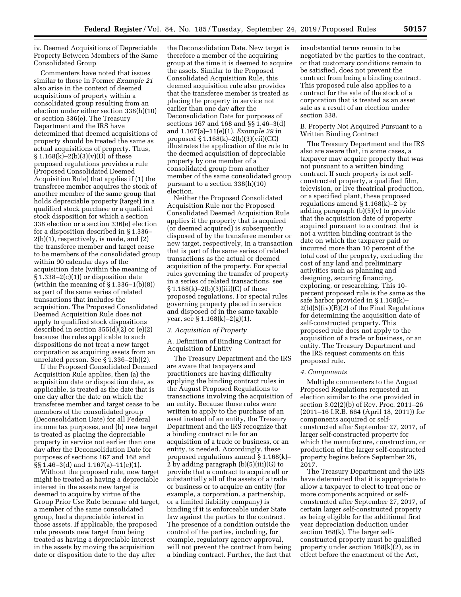iv. Deemed Acquisitions of Depreciable Property Between Members of the Same Consolidated Group

Commenters have noted that issues similar to those in Former *Example 21*  also arise in the context of deemed acquisitions of property within a consolidated group resulting from an election under either section 338(h)(10) or section 336(e). The Treasury Department and the IRS have determined that deemed acquisitions of property should be treated the same as actual acquisitions of property. Thus,  $\S 1.168(k) - 2(b)(3)(v)(D)$  of these proposed regulations provides a rule (Proposed Consolidated Deemed Acquisition Rule) that applies if (1) the transferee member acquires the stock of another member of the same group that holds depreciable property (target) in a qualified stock purchase or a qualified stock disposition for which a section 338 election or a section 336(e) election for a disposition described in § 1.336– 2(b)(1), respectively, is made, and (2) the transferee member and target cease to be members of the consolidated group within 90 calendar days of the acquisition date (within the meaning of § 1.338–2(c)(1)) or disposition date (within the meaning of  $\S 1.336-1(b)(8)$ ) as part of the same series of related transactions that includes the acquisition. The Proposed Consolidated Deemed Acquisition Rule does not apply to qualified stock dispositions described in section 355(d)(2) or (e)(2) because the rules applicable to such dispositions do not treat a new target corporation as acquiring assets from an unrelated person. See § 1.336–2(b)(2).

If the Proposed Consolidated Deemed Acquisition Rule applies, then (a) the acquisition date or disposition date, as applicable, is treated as the date that is one day after the date on which the transferee member and target cease to be members of the consolidated group (Deconsolidation Date) for all Federal income tax purposes, and (b) new target is treated as placing the depreciable property in service not earlier than one day after the Deconsolidation Date for purposes of sections 167 and 168 and §§ 1.46–3(d) and 1.167(a)–11(e)(1).

Without the proposed rule, new target might be treated as having a depreciable interest in the assets new target is deemed to acquire by virtue of the Group Prior Use Rule because old target, a member of the same consolidated group, had a depreciable interest in those assets. If applicable, the proposed rule prevents new target from being treated as having a depreciable interest in the assets by moving the acquisition date or disposition date to the day after

the Deconsolidation Date. New target is therefore a member of the acquiring group at the time it is deemed to acquire the assets. Similar to the Proposed Consolidated Acquisition Rule, this deemed acquisition rule also provides that the transferee member is treated as placing the property in service not earlier than one day after the Deconsolidation Date for purposes of sections 167 and 168 and §§ 1.46–3(d) and 1.167(a)–11(e)(1). *Example 29* in proposed § 1.168(k)–2(b)(3)(vii)(CC) illustrates the application of the rule to the deemed acquisition of depreciable property by one member of a consolidated group from another member of the same consolidated group pursuant to a section 338(h)(10) election.

Neither the Proposed Consolidated Acquisition Rule nor the Proposed Consolidated Deemed Acquisition Rule applies if the property that is acquired (or deemed acquired) is subsequently disposed of by the transferee member or new target, respectively, in a transaction that is part of the same series of related transactions as the actual or deemed acquisition of the property. For special rules governing the transfer of property in a series of related transactions, see § 1.168(k)–2(b)(3)(iii)(C) of these proposed regulations. For special rules governing property placed in service and disposed of in the same taxable year, see § 1.168(k)–2(g)(1).

### *3. Acquisition of Property*

A. Definition of Binding Contract for Acquisition of Entity

The Treasury Department and the IRS are aware that taxpayers and practitioners are having difficulty applying the binding contract rules in the August Proposed Regulations to transactions involving the acquisition of an entity. Because those rules were written to apply to the purchase of an asset instead of an entity, the Treasury Department and the IRS recognize that a binding contract rule for an acquisition of a trade or business, or an entity, is needed. Accordingly, these proposed regulations amend § 1.168(k)– 2 by adding paragraph (b)(5)(iii)(G) to provide that a contract to acquire all or substantially all of the assets of a trade or business or to acquire an entity (for example, a corporation, a partnership, or a limited liability company) is binding if it is enforceable under State law against the parties to the contract. The presence of a condition outside the control of the parties, including, for example, regulatory agency approval, will not prevent the contract from being a binding contract. Further, the fact that

insubstantial terms remain to be negotiated by the parties to the contract, or that customary conditions remain to be satisfied, does not prevent the contract from being a binding contract. This proposed rule also applies to a contract for the sale of the stock of a corporation that is treated as an asset sale as a result of an election under section 338.

### B. Property Not Acquired Pursuant to a Written Binding Contract

The Treasury Department and the IRS also are aware that, in some cases, a taxpayer may acquire property that was not pursuant to a written binding contract. If such property is not selfconstructed property, a qualified film, television, or live theatrical production, or a specified plant, these proposed regulations amend § 1.168(k)–2 by adding paragraph  $(b)(5)(v)$  to provide that the acquisition date of property acquired pursuant to a contract that is not a written binding contract is the date on which the taxpayer paid or incurred more than 10 percent of the total cost of the property, excluding the cost of any land and preliminary activities such as planning and designing, securing financing, exploring, or researching. This 10 percent proposed rule is the same as the safe harbor provided in § 1.168(k)– 2(b)(5)(iv)(B)(*2*) of the Final Regulations for determining the acquisition date of self-constructed property. This proposed rule does not apply to the acquisition of a trade or business, or an entity. The Treasury Department and the IRS request comments on this proposed rule.

# *4. Components*

Multiple commenters to the August Proposed Regulations requested an election similar to the one provided in section 3.02(2)(b) of Rev. Proc. 2011–26 (2011–16 I.R.B. 664 (April 18, 2011)) for components acquired or selfconstructed after September 27, 2017, of larger self-constructed property for which the manufacture, construction, or production of the larger self-constructed property begins before September 28, 2017.

The Treasury Department and the IRS have determined that it is appropriate to allow a taxpayer to elect to treat one or more components acquired or selfconstructed after September 27, 2017, of certain larger self-constructed property as being eligible for the additional first year depreciation deduction under section 168(k). The larger selfconstructed property must be qualified property under section  $168(k)(2)$ , as in effect before the enactment of the Act,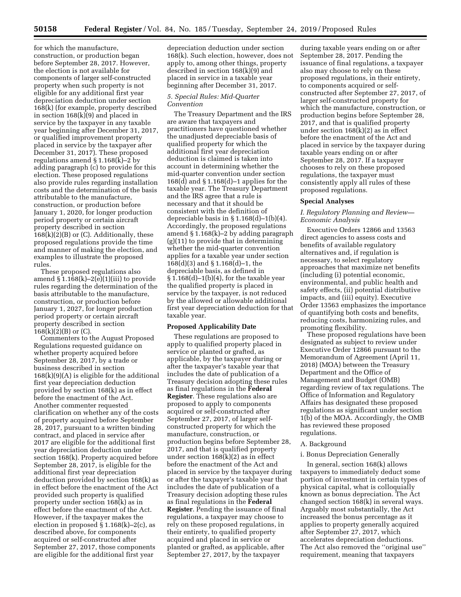for which the manufacture, construction, or production began before September 28, 2017. However, the election is not available for components of larger self-constructed property when such property is not eligible for any additional first year depreciation deduction under section 168(k) (for example, property described in section 168(k)(9) and placed in service by the taxpayer in any taxable year beginning after December 31, 2017, or qualified improvement property placed in service by the taxpayer after December 31, 2017). These proposed regulations amend § 1.168(k)–2 by adding paragraph (c) to provide for this election. These proposed regulations also provide rules regarding installation costs and the determination of the basis attributable to the manufacture, construction, or production before January 1, 2020, for longer production period property or certain aircraft property described in section  $168(k)(2)(B)$  or (C). Additionally, these proposed regulations provide the time and manner of making the election, and examples to illustrate the proposed rules.

These proposed regulations also amend § 1.168(k)–2(e)(1)(iii) to provide rules regarding the determination of the basis attributable to the manufacture, construction, or production before January 1, 2027, for longer production period property or certain aircraft property described in section  $168(k)(2)(B)$  or  $(C)$ .

Commenters to the August Proposed Regulations requested guidance on whether property acquired before September 28, 2017, by a trade or business described in section  $168(k)(9)(A)$  is eligible for the additional first year depreciation deduction provided by section 168(k) as in effect before the enactment of the Act. Another commenter requested clarification on whether any of the costs of property acquired before September 28, 2017, pursuant to a written binding contract, and placed in service after 2017 are eligible for the additional first year depreciation deduction under section 168(k). Property acquired before September 28, 2017, is eligible for the additional first year depreciation deduction provided by section 168(k) as in effect before the enactment of the Act provided such property is qualified property under section 168(k) as in effect before the enactment of the Act. However, if the taxpayer makes the election in proposed  $\S 1.168(k) - 2(c)$ , as described above, for components acquired or self-constructed after September 27, 2017, those components are eligible for the additional first year

depreciation deduction under section 168(k). Such election, however, does not apply to, among other things, property described in section 168(k)(9) and placed in service in a taxable year beginning after December 31, 2017.

### *5. Special Rules: Mid-Quarter Convention*

The Treasury Department and the IRS are aware that taxpayers and practitioners have questioned whether the unadjusted depreciable basis of qualified property for which the additional first year depreciation deduction is claimed is taken into account in determining whether the mid-quarter convention under section 168 $(d)$  and § 1.168 $(d)$ –1 applies for the taxable year. The Treasury Department and the IRS agree that a rule is necessary and that it should be consistent with the definition of depreciable basis in § 1.168(d)–1(b)(4). Accordingly, the proposed regulations amend § 1.168(k)–2 by adding paragraph (g)(11) to provide that in determining whether the mid-quarter convention applies for a taxable year under section 168(d)(3) and § 1.168(d)–1, the depreciable basis, as defined in  $§ 1.168(d)-1(b)(4)$ , for the taxable year the qualified property is placed in service by the taxpayer, is not reduced by the allowed or allowable additional first year depreciation deduction for that taxable year.

# **Proposed Applicability Date**

These regulations are proposed to apply to qualified property placed in service or planted or grafted, as applicable, by the taxpayer during or after the taxpayer's taxable year that includes the date of publication of a Treasury decision adopting these rules as final regulations in the **Federal Register**. These regulations also are proposed to apply to components acquired or self-constructed after September 27, 2017, of larger selfconstructed property for which the manufacture, construction, or production begins before September 28, 2017, and that is qualified property under section 168(k)(2) as in effect before the enactment of the Act and placed in service by the taxpayer during or after the taxpayer's taxable year that includes the date of publication of a Treasury decision adopting these rules as final regulations in the **Federal Register**. Pending the issuance of final regulations, a taxpayer may choose to rely on these proposed regulations, in their entirety, to qualified property acquired and placed in service or planted or grafted, as applicable, after September 27, 2017, by the taxpayer

during taxable years ending on or after September 28, 2017. Pending the issuance of final regulations, a taxpayer also may choose to rely on these proposed regulations, in their entirety, to components acquired or selfconstructed after September 27, 2017, of larger self-constructed property for which the manufacture, construction, or production begins before September 28, 2017, and that is qualified property under section 168(k)(2) as in effect before the enactment of the Act and placed in service by the taxpayer during taxable years ending on or after September 28, 2017. If a taxpayer chooses to rely on these proposed regulations, the taxpayer must consistently apply all rules of these proposed regulations.

#### **Special Analyses**

## *I. Regulatory Planning and Review— Economic Analysis*

Executive Orders 12866 and 13563 direct agencies to assess costs and benefits of available regulatory alternatives and, if regulation is necessary, to select regulatory approaches that maximize net benefits (including (i) potential economic, environmental, and public health and safety effects, (ii) potential distributive impacts, and (iii) equity). Executive Order 13563 emphasizes the importance of quantifying both costs and benefits, reducing costs, harmonizing rules, and promoting flexibility.

These proposed regulations have been designated as subject to review under Executive Order 12866 pursuant to the Memorandum of Agreement (April 11, 2018) (MOA) between the Treasury Department and the Office of Management and Budget (OMB) regarding review of tax regulations. The Office of Information and Regulatory Affairs has designated these proposed regulations as significant under section 1(b) of the MOA. Accordingly, the OMB has reviewed these proposed regulations.

#### A. Background

# i. Bonus Depreciation Generally

In general, section 168(k) allows taxpayers to immediately deduct some portion of investment in certain types of physical capital, what is colloquially known as bonus depreciation. The Act changed section 168(k) in several ways. Arguably most substantially, the Act increased the bonus percentage as it applies to property generally acquired after September 27, 2017, which accelerates depreciation deductions. The Act also removed the ''original use'' requirement, meaning that taxpayers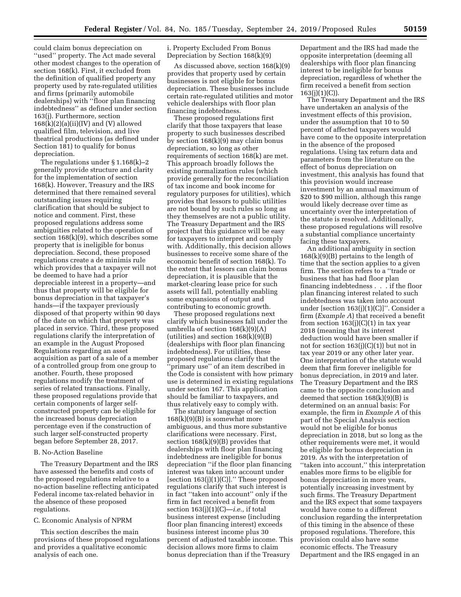could claim bonus depreciation on ''used'' property. The Act made several other modest changes to the operation of section 168(k). First, it excluded from the definition of qualified property any property used by rate-regulated utilities and firms (primarily automobile dealerships) with ''floor plan financing indebtedness'' as defined under section 163(j). Furthermore, section  $168(k)(2)(a)(ii)(IV)$  and (V) allowed qualified film, television, and live theatrical productions (as defined under Section 181) to qualify for bonus depreciation.

The regulations under § 1.168(k)–2 generally provide structure and clarity for the implementation of section 168(k). However, Treasury and the IRS determined that there remained several outstanding issues requiring clarification that should be subject to notice and comment. First, these proposed regulations address some ambiguities related to the operation of section 168(k)(9), which describes some property that is ineligible for bonus depreciation. Second, these proposed regulations create a de minimis rule which provides that a taxpayer will not be deemed to have had a prior depreciable interest in a property—and thus that property will be eligible for bonus depreciation in that taxpayer's hands—if the taxpayer previously disposed of that property within 90 days of the date on which that property was placed in service. Third, these proposed regulations clarify the interpretation of an example in the August Proposed Regulations regarding an asset acquisition as part of a sale of a member of a controlled group from one group to another. Fourth, these proposed regulations modify the treatment of series of related transactions. Finally, these proposed regulations provide that certain components of larger selfconstructed property can be eligible for the increased bonus depreciation percentage even if the construction of such larger self-constructed property began before September 28, 2017.

# B. No-Action Baseline

The Treasury Department and the IRS have assessed the benefits and costs of the proposed regulations relative to a no-action baseline reflecting anticipated Federal income tax-related behavior in the absence of these proposed regulations.

# C. Economic Analysis of NPRM

This section describes the main provisions of these proposed regulations and provides a qualitative economic analysis of each one.

i. Property Excluded From Bonus Depreciation by Section 168(k)(9)

As discussed above, section 168(k)(9) provides that property used by certain businesses is not eligible for bonus depreciation. These businesses include certain rate-regulated utilities and motor vehicle dealerships with floor plan financing indebtedness.

These proposed regulations first clarify that those taxpayers that lease property to such businesses described by section 168(k)(9) may claim bonus depreciation, so long as other requirements of section 168(k) are met. This approach broadly follows the existing normalization rules (which provide generally for the reconciliation of tax income and book income for regulatory purposes for utilities), which provides that lessors to public utilities are not bound by such rules so long as they themselves are not a public utility. The Treasury Department and the IRS project that this guidance will be easy for taxpayers to interpret and comply with. Additionally, this decision allows businesses to receive some share of the economic benefit of section 168(k). To the extent that lessors can claim bonus depreciation, it is plausible that the market-clearing lease price for such assets will fall, potentially enabling some expansions of output and contributing to economic growth.

These proposed regulations next clarify which businesses fall under the umbrella of section 168(k)(9)(A) (utilities) and section  $168(k)(9)(B)$ (dealerships with floor plan financing indebtedness). For utilities, these proposed regulations clarify that the ''primary use'' of an item described in the Code is consistent with how primary use is determined in existing regulations under section 167. This application should be familiar to taxpayers, and thus relatively easy to comply with.

The statutory language of section 168(k)(9)(B) is somewhat more ambiguous, and thus more substantive clarifications were necessary. First, section 168(k)(9)(B) provides that dealerships with floor plan financing indebtedness are ineligible for bonus depreciation ''if the floor plan financing interest was taken into account under [section 163(j)(1)(C)].'' These proposed regulations clarify that such interest is in fact ''taken into account'' only if the firm in fact received a benefit from section 163(j)(1)(C)—*i.e.,* if total business interest expense (including floor plan financing interest) exceeds business interest income plus 30 percent of adjusted taxable income. This decision allows more firms to claim bonus depreciation than if the Treasury

Department and the IRS had made the opposite interpretation (deeming all dealerships with floor plan financing interest to be ineligible for bonus depreciation, regardless of whether the firm received a benefit from section  $163(i)(1)(C)$ .

The Treasury Department and the IRS have undertaken an analysis of the investment effects of this provision, under the assumption that 10 to 50 percent of affected taxpayers would have come to the opposite interpretation in the absence of the proposed regulations. Using tax return data and parameters from the literature on the effect of bonus depreciation on investment, this analysis has found that this provision would increase investment by an annual maximum of \$20 to \$90 million, although this range would likely decrease over time as uncertainty over the interpretation of the statute is resolved. Additionally, these proposed regulations will resolve a substantial compliance uncertainty facing these taxpayers.

An additional ambiguity in section  $168(k)(9)(B)$  pertains to the length of time that the section applies to a given firm. The section refers to a ''trade or business that has had floor plan financing indebtedness . . . if the floor plan financing interest related to such indebtedness was taken into account under [section 163(j)(1)(C)]''. Consider a firm (*Example A*) that received a benefit from section 163(j)(C)(1) in tax year 2018 (meaning that its interest deduction would have been smaller if not for section  $163(j)(C)(1)$  but not in tax year 2019 or any other later year. One interpretation of the statute would deem that firm forever ineligible for bonus depreciation, in 2019 and later. The Treasury Department and the IRS came to the opposite conclusion and deemed that section  $168(k)(9)(B)$  is determined on an annual basis: For example, the firm in *Example A* of this part of the Special Analysis section would not be eligible for bonus depreciation in 2018, but so long as the other requirements were met, it would be eligible for bonus depreciation in 2019. As with the interpretation of ''taken into account,'' this interpretation enables more firms to be eligible for bonus depreciation in more years, potentially increasing investment by such firms. The Treasury Department and the IRS expect that some taxpayers would have come to a different conclusion regarding the interpretation of this timing in the absence of these proposed regulations. Therefore, this provision could also have some economic effects. The Treasury Department and the IRS engaged in an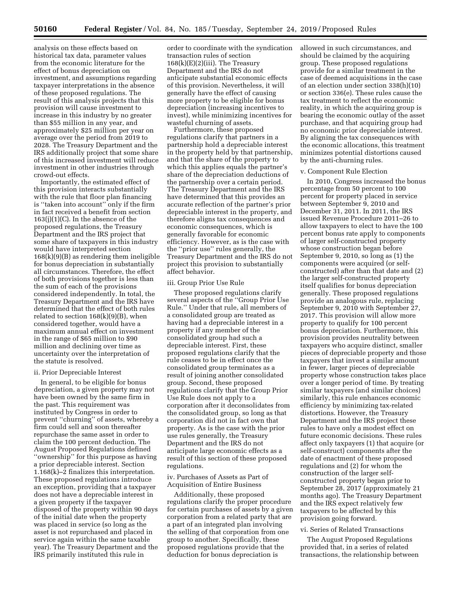analysis on these effects based on historical tax data, parameter values from the economic literature for the effect of bonus depreciation on investment, and assumptions regarding taxpayer interpretations in the absence of these proposed regulations. The result of this analysis projects that this provision will cause investment to increase in this industry by no greater than \$55 million in any year, and approximately \$25 million per year on average over the period from 2019 to 2028. The Treasury Department and the IRS additionally project that some share of this increased investment will reduce investment in other industries through crowd-out effects.

Importantly, the estimated effect of this provision interacts substantially with the rule that floor plan financing is ''taken into account'' only if the firm in fact received a benefit from section  $163(j)(1)(C)$ . In the absence of the proposed regulations, the Treasury Department and the IRS project that some share of taxpayers in this industry would have interpreted section 168(k)(9)(B) as rendering them ineligible for bonus depreciation in substantially all circumstances. Therefore, the effect of both provisions together is less than the sum of each of the provisions considered independently. In total, the Treasury Department and the IRS have determined that the effect of both rules related to section 168(k)(9)(B), when considered together, would have a maximum annual effect on investment in the range of \$65 million to \$90 million and declining over time as uncertainty over the interpretation of the statute is resolved.

### ii. Prior Depreciable Interest

In general, to be eligible for bonus depreciation, a given property may not have been owned by the same firm in the past. This requirement was instituted by Congress in order to prevent ''churning'' of assets, whereby a firm could sell and soon thereafter repurchase the same asset in order to claim the 100 percent deduction. The August Proposed Regulations defined "ownership" for this purpose as having a prior depreciable interest. Section 1.168(k)–2 finalizes this interpretation. These proposed regulations introduce an exception, providing that a taxpayer does not have a depreciable interest in a given property if the taxpayer disposed of the property within 90 days of the initial date when the property was placed in service (so long as the asset is not repurchased and placed in service again within the same taxable year). The Treasury Department and the IRS primarily instituted this rule in

order to coordinate with the syndication transaction rules of section  $168(k)$ (E)(2)(iii). The Treasury Department and the IRS do not anticipate substantial economic effects of this provision. Nevertheless, it will generally have the effect of causing more property to be eligible for bonus depreciation (increasing incentives to invest), while minimizing incentives for wasteful churning of assets.

Furthermore, these proposed regulations clarify that partners in a partnership hold a depreciable interest in the property held by that partnership, and that the share of the property to which this applies equals the partner's share of the depreciation deductions of the partnership over a certain period. The Treasury Department and the IRS have determined that this provides an accurate reflection of the partner's prior depreciable interest in the property, and therefore aligns tax consequences and economic consequences, which is generally favorable for economic efficiency. However, as is the case with the ''prior use'' rules generally, the Treasury Department and the IRS do not project this provision to substantially affect behavior.

### iii. Group Prior Use Rule

These proposed regulations clarify several aspects of the ''Group Prior Use Rule.'' Under that rule, all members of a consolidated group are treated as having had a depreciable interest in a property if any member of the consolidated group had such a depreciable interest. First, these proposed regulations clarify that the rule ceases to be in effect once the consolidated group terminates as a result of joining another consolidated group. Second, these proposed regulations clarify that the Group Prior Use Rule does not apply to a corporation after it deconsolidates from the consolidated group, so long as that corporation did not in fact own that property. As is the case with the prior use rules generally, the Treasury Department and the IRS do not anticipate large economic effects as a result of this section of these proposed regulations.

### iv. Purchases of Assets as Part of Acquisition of Entire Business

Additionally, these proposed regulations clarify the proper procedure for certain purchases of assets by a given corporation from a related party that are a part of an integrated plan involving the selling of that corporation from one group to another. Specifically, these proposed regulations provide that the deduction for bonus depreciation is

allowed in such circumstances, and should be claimed by the acquiring group. These proposed regulations provide for a similar treatment in the case of deemed acquisitions in the case of an election under section 338(h)(10) or section 336(e). These rules cause the tax treatment to reflect the economic reality, in which the acquiring group is bearing the economic outlay of the asset purchase, and that acquiring group had no economic prior depreciable interest. By aligning the tax consequences with the economic allocations, this treatment minimizes potential distortions caused by the anti-churning rules.

### v. Component Rule Election

In 2010, Congress increased the bonus percentage from 50 percent to 100 percent for property placed in service between September 9, 2010 and December 31, 2011. In 2011, the IRS issued Revenue Procedure 2011–26 to allow taxpayers to elect to have the 100 percent bonus rate apply to components of larger self-constructed property whose construction began before September 9, 2010, so long as (1) the components were acquired (or selfconstructed) after than that date and (2) the larger self-constructed property itself qualifies for bonus depreciation generally. These proposed regulations provide an analogous rule, replacing September 9, 2010 with September 27, 2017. This provision will allow more property to qualify for 100 percent bonus depreciation. Furthermore, this provision provides neutrality between taxpayers who acquire distinct, smaller pieces of depreciable property and those taxpayers that invest a similar amount in fewer, larger pieces of depreciable property whose construction takes place over a longer period of time. By treating similar taxpayers (and similar choices) similarly, this rule enhances economic efficiency by minimizing tax-related distortions. However, the Treasury Department and the IRS project these rules to have only a modest effect on future economic decisions. These rules affect only taxpayers (1) that acquire (or self-construct) components after the date of enactment of these proposed regulations and (2) for whom the construction of the larger selfconstructed property began prior to September 28, 2017 (approximately 21 months ago). The Treasury Department and the IRS expect relatively few taxpayers to be affected by this provision going forward.

### vi. Series of Related Transactions

The August Proposed Regulations provided that, in a series of related transactions, the relationship between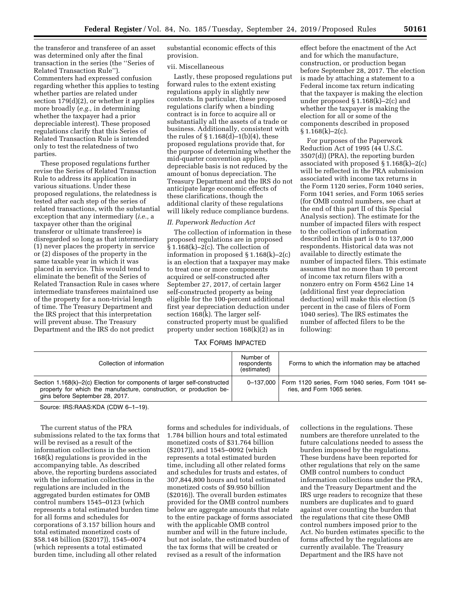the transferor and transferee of an asset was determined only after the final transaction in the series (the ''Series of Related Transaction Rule''). Commenters had expressed confusion regarding whether this applies to testing whether parties are related under section 179(d)(2), or whether it applies more broadly (*e.g.,* in determining whether the taxpayer had a prior depreciable interest). These proposed regulations clarify that this Series of Related Transaction Rule is intended only to test the relatedness of two parties.

These proposed regulations further revise the Series of Related Transaction Rule to address its application in various situations. Under these proposed regulations, the relatedness is tested after each step of the series of related transactions, with the substantial exception that any intermediary (*i.e.,* a taxpayer other than the original transferor or ultimate transferee) is disregarded so long as that intermediary (1) never places the property in service or (2) disposes of the property in the same taxable year in which it was placed in service. This would tend to eliminate the benefit of the Series of Related Transaction Rule in cases where intermediate transferees maintained use of the property for a non-trivial length of time. The Treasury Department and the IRS project that this interpretation will prevent abuse. The Treasury Department and the IRS do not predict

substantial economic effects of this provision.

#### vii. Miscellaneous

Lastly, these proposed regulations put forward rules to the extent existing regulations apply in slightly new contexts. In particular, these proposed regulations clarify when a binding contract is in force to acquire all or substantially all the assets of a trade or business. Additionally, consistent with the rules of  $\S 1.168(d) - 1(b)(4)$ , these proposed regulations provide that, for the purpose of determining whether the mid-quarter convention applies, depreciable basis is not reduced by the amount of bonus depreciation. The Treasury Department and the IRS do not anticipate large economic effects of these clarifications, though the additional clarity of these regulations will likely reduce compliance burdens.

### *II. Paperwork Reduction Act*

The collection of information in these proposed regulations are in proposed § 1.168(k)–2(c). The collection of information in proposed § 1.168(k)–2(c) is an election that a taxpayer may make to treat one or more components acquired or self-constructed after September 27, 2017, of certain larger self-constructed property as being eligible for the 100-percent additional first year depreciation deduction under section 168(k). The larger selfconstructed property must be qualified property under section 168(k)(2) as in

effect before the enactment of the Act and for which the manufacture, construction, or production began before September 28, 2017. The election is made by attaching a statement to a Federal income tax return indicating that the taxpayer is making the election under proposed § 1.168(k)–2(c) and whether the taxpayer is making the election for all or some of the components described in proposed  $§ 1.168(k)-2(c).$ 

For purposes of the Paperwork Reduction Act of 1995 (44 U.S.C. 3507(d)) (PRA), the reporting burden associated with proposed § 1.168(k)–2(c) will be reflected in the PRA submission associated with income tax returns in the Form 1120 series, Form 1040 series, Form 1041 series, and Form 1065 series (for OMB control numbers, see chart at the end of this part II of this Special Analysis section). The estimate for the number of impacted filers with respect to the collection of information described in this part is 0 to 137,000 respondents. Historical data was not available to directly estimate the number of impacted filers. This estimate assumes that no more than 10 percent of income tax return filers with a nonzero entry on Form 4562 Line 14 (additional first year depreciation deduction) will make this election (5 percent in the case of filers of Form 1040 series). The IRS estimates the number of affected filers to be the following:

# TAX FORMS IMPACTED

| Collection of information                                                                                                                                                          | Number of<br>respondents<br>(estimated) | Forms to which the information may be attached                                               |
|------------------------------------------------------------------------------------------------------------------------------------------------------------------------------------|-----------------------------------------|----------------------------------------------------------------------------------------------|
| Section 1.168(k)–2(c) Election for components of larger self-constructed<br>property for which the manufacture, construction, or production be-<br>gins before September 28, 2017. |                                         | 0-137,000   Form 1120 series, Form 1040 series, Form 1041 se-<br>ries, and Form 1065 series. |

Source: IRS:RAAS:KDA (CDW 6–1–19).

The current status of the PRA submissions related to the tax forms that will be revised as a result of the information collections in the section 168(k) regulations is provided in the accompanying table. As described above, the reporting burdens associated with the information collections in the regulations are included in the aggregated burden estimates for OMB control numbers 1545–0123 (which represents a total estimated burden time for all forms and schedules for corporations of 3.157 billion hours and total estimated monetized costs of \$58.148 billion (\$2017)), 1545–0074 (which represents a total estimated burden time, including all other related

forms and schedules for individuals, of 1.784 billion hours and total estimated monetized costs of \$31.764 billion (\$2017)), and 1545–0092 (which represents a total estimated burden time, including all other related forms and schedules for trusts and estates, of 307,844,800 hours and total estimated monetized costs of \$9.950 billion (\$2016)). The overall burden estimates provided for the OMB control numbers below are aggregate amounts that relate to the entire package of forms associated with the applicable OMB control number and will in the future include, but not isolate, the estimated burden of the tax forms that will be created or revised as a result of the information

collections in the regulations. These numbers are therefore unrelated to the future calculations needed to assess the burden imposed by the regulations. These burdens have been reported for other regulations that rely on the same OMB control numbers to conduct information collections under the PRA, and the Treasury Department and the IRS urge readers to recognize that these numbers are duplicates and to guard against over counting the burden that the regulations that cite these OMB control numbers imposed prior to the Act. No burden estimates specific to the forms affected by the regulations are currently available. The Treasury Department and the IRS have not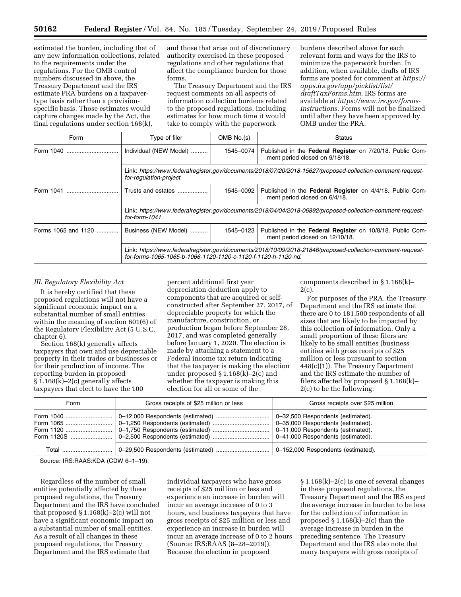estimated the burden, including that of any new information collections, related to the requirements under the regulations. For the OMB control numbers discussed in above, the Treasury Department and the IRS estimate PRA burdens on a taxpayertype basis rather than a provisionspecific basis. Those estimates would capture changes made by the Act, the final regulations under section 168(k),

and those that arise out of discretionary authority exercised in these proposed regulations and other regulations that affect the compliance burden for those forms.

The Treasury Department and the IRS request comments on all aspects of information collection burdens related to the proposed regulations, including estimates for how much time it would take to comply with the paperwork

burdens described above for each relevant form and ways for the IRS to minimize the paperwork burden. In addition, when available, drafts of IRS forms are posted for comment at *[https://](https://apps.irs.gov/app/picklist/list/draftTaxForms.htm) [apps.irs.gov/app/picklist/list/](https://apps.irs.gov/app/picklist/list/draftTaxForms.htm)  [draftTaxForms.htm.](https://apps.irs.gov/app/picklist/list/draftTaxForms.htm)* IRS forms are available at *[https://www.irs.gov/forms](https://www.irs.gov/forms-instructions)[instructions.](https://www.irs.gov/forms-instructions)* Forms will not be finalized until after they have been approved by OMB under the PRA.

| Form                | Type of filer                                                                                                                                                               | OMB No.(s) | <b>Status</b>                                                                                |  |
|---------------------|-----------------------------------------------------------------------------------------------------------------------------------------------------------------------------|------------|----------------------------------------------------------------------------------------------|--|
|                     | Individual (NEW Model)                                                                                                                                                      | 1545-0074  | Published in the Federal Register on 7/20/18. Public Com-<br>ment period closed on 9/18/18.  |  |
|                     | Link: https://www.federalregister.gov/documents/2018/07/20/2018-15627/proposed-collection-comment-reguest-<br>for-regulation-project.                                       |            |                                                                                              |  |
|                     | Trusts and estates                                                                                                                                                          | 1545-0092  | Published in the Federal Register on 4/4/18. Public Com-<br>ment period closed on 6/4/18.    |  |
|                     | Link: https://www.federalregister.gov/documents/2018/04/04/2018-06892/proposed-collection-comment-request-<br>for-form- $1041$ .                                            |            |                                                                                              |  |
| Forms 1065 and 1120 | Business (NEW Model)                                                                                                                                                        | 1545-0123  | Published in the Federal Register on 10/8/18. Public Com-<br>ment period closed on 12/10/18. |  |
|                     | Link: https://www.federalregister.gov/documents/2018/10/09/2018-21846/proposed-collection-comment-request-<br>for-forms-1065-1065-b-1066-1120-1120-c-1120-f-1120-h-1120-nd. |            |                                                                                              |  |

## *III. Regulatory Flexibility Act*

It is hereby certified that these proposed regulations will not have a significant economic impact on a substantial number of small entities within the meaning of section 601(6) of the Regulatory Flexibility Act (5 U.S.C. chapter 6).

Section 168(k) generally affects taxpayers that own and use depreciable property in their trades or businesses or for their production of income. The reporting burden in proposed § 1.168(k)–2(c) generally affects taxpayers that elect to have the 100

percent additional first year depreciation deduction apply to components that are acquired or selfconstructed after September 27, 2017, of depreciable property for which the manufacture, construction, or production began before September 28, 2017, and was completed generally before January 1, 2020. The election is made by attaching a statement to a Federal income tax return indicating that the taxpayer is making the election under proposed § 1.168(k)–2(c) and whether the taxpayer is making this election for all or some of the

components described in § 1.168(k)– 2(c).

For purposes of the PRA, the Treasury Department and the IRS estimate that there are 0 to 181,500 respondents of all sizes that are likely to be impacted by this collection of information. Only a small proportion of these filers are likely to be small entities (business entities with gross receipts of \$25 million or less pursuant to section 448(c)(1)). The Treasury Department and the IRS estimate the number of filers affected by proposed § 1.168(k)– 2(c) to be the following:

| Form | Gross receipts of \$25 million or less | Gross receipts over \$25 million                                       |
|------|----------------------------------------|------------------------------------------------------------------------|
|      |                                        | 0-35,000 Respondents (estimated).<br>0-11,000 Respondents (estimated). |
|      |                                        |                                                                        |

Source: IRS:RAAS:KDA (CDW 6–1–19).

Regardless of the number of small entities potentially affected by these proposed regulations, the Treasury Department and the IRS have concluded that proposed  $\S 1.168(k)-2(c)$  will not have a significant economic impact on a substantial number of small entities. As a result of all changes in these proposed regulations, the Treasury Department and the IRS estimate that

individual taxpayers who have gross receipts of \$25 million or less and experience an increase in burden will incur an average increase of 0 to 3 hours, and business taxpayers that have gross receipts of \$25 million or less and experience an increase in burden will incur an average increase of 0 to 2 hours (Source: IRS:RAAS (8–28–2019)). Because the election in proposed

§ 1.168(k)–2(c) is one of several changes in these proposed regulations, the Treasury Department and the IRS expect the average increase in burden to be less for the collection of information in proposed  $\S 1.168(k)-2(c)$  than the average increase in burden in the preceding sentence. The Treasury Department and the IRS also note that many taxpayers with gross receipts of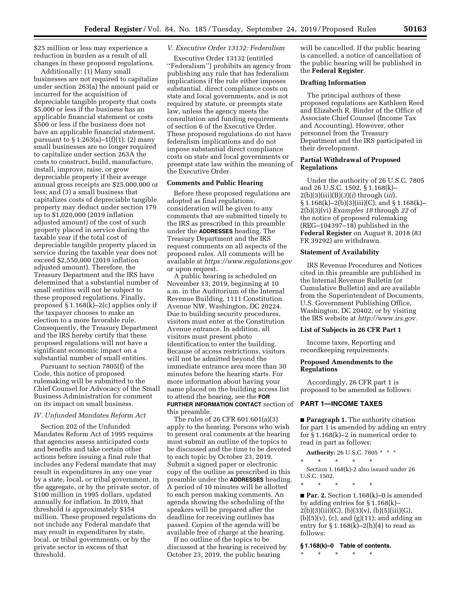\$25 million or less may experience a reduction in burden as a result of all changes in these proposed regulations.

Additionally: (1) Many small businesses are not required to capitalize under section 263(a) the amount paid or incurred for the acquisition of depreciable tangible property that costs \$5,000 or less if the business has an applicable financial statement or costs \$500 or less if the business does not have an applicable financial statement, pursuant to § 1.263(a)–1(f)(1); (2) many small businesses are no longer required to capitalize under section 263A the costs to construct, build, manufacture, install, improve, raise, or grow depreciable property if their average annual gross receipts are \$25,000,000 or less; and (3) a small business that capitalizes costs of depreciable tangible property may deduct under section 179 up to \$1,020,000 (2019 inflation adjusted amount) of the cost of such property placed in service during the taxable year if the total cost of depreciable tangible property placed in service during the taxable year does not exceed \$2,550,000 (2019 inflation adjusted amount). Therefore, the Treasury Department and the IRS have determined that a substantial number of small entities will not be subject to these proposed regulations. Finally, proposed § 1.168(k)–2(c) applies only if the taxpayer chooses to make an election to a more favorable rule. Consequently, the Treasury Department and the IRS hereby certify that these proposed regulations will not have a significant economic impact on a substantial number of small entities.

Pursuant to section 7805(f) of the Code, this notice of proposed rulemaking will be submitted to the Chief Counsel for Advocacy of the Small Business Administration for comment on its impact on small business.

# *IV. Unfunded Mandates Reform Act*

Section 202 of the Unfunded Mandates Reform Act of 1995 requires that agencies assess anticipated costs and benefits and take certain other actions before issuing a final rule that includes any Federal mandate that may result in expenditures in any one year by a state, local, or tribal government, in the aggregate, or by the private sector, of \$100 million in 1995 dollars, updated annually for inflation. In 2019, that threshold is approximately \$154 million. These proposed regulations do not include any Federal mandate that may result in expenditures by state, local, or tribal governments, or by the private sector in excess of that threshold.

# *V. Executive Order 13132: Federalism*

Executive Order 13132 (entitled ''Federalism'') prohibits an agency from publishing any rule that has federalism implications if the rule either imposes substantial, direct compliance costs on state and local governments, and is not required by statute, or preempts state law, unless the agency meets the consultation and funding requirements of section 6 of the Executive Order. These proposed regulations do not have federalism implications and do not impose substantial direct compliance costs on state and local governments or preempt state law within the meaning of the Executive Order.

### **Comments and Public Hearing**

Before these proposed regulations are adopted as final regulations, consideration will be given to any comments that are submitted timely to the IRS as prescribed in this preamble under the **ADDRESSES** heading. The Treasury Department and the IRS request comments on all aspects of the proposed rules. All comments will be available at *<https://www.regulations.gov>* or upon request.

A public hearing is scheduled on November 13, 2019, beginning at 10 a.m. in the Auditorium of the Internal Revenue Building, 1111 Constitution Avenue NW, Washington, DC 20224. Due to building security procedures, visitors must enter at the Constitution Avenue entrance. In addition, all visitors must present photo identification to enter the building. Because of access restrictions, visitors will not be admitted beyond the immediate entrance area more than 30 minutes before the hearing starts. For more information about having your name placed on the building access list to attend the hearing, see the **FOR FURTHER INFORMATION CONTACT** section of this preamble.

The rules of 26 CFR 601.601(a)(3) apply to the hearing. Persons who wish to present oral comments at the hearing must submit an outline of the topics to be discussed and the time to be devoted to each topic by October 23, 2019. Submit a signed paper or electronic copy of the outline as prescribed in this preamble under the **ADDRESSES** heading. A period of 10 minutes will be allotted to each person making comments. An agenda showing the scheduling of the speakers will be prepared after the deadline for receiving outlines has passed. Copies of the agenda will be available free of charge at the hearing.

If no outline of the topics to be discussed at the hearing is received by October 23, 2019, the public hearing

will be cancelled. If the public hearing is cancelled, a notice of cancellation of the public hearing will be published in the **Federal Register**.

## **Drafting Information**

The principal authors of these proposed regulations are Kathleen Reed and Elizabeth R. Binder of the Office of Associate Chief Counsel (Income Tax and Accounting). However, other personnel from the Treasury Department and the IRS participated in their development.

## **Partial Withdrawal of Proposed Regulations**

Under the authority of 26 U.S.C. 7805 and 26 U.S.C. 1502, § 1.168(k)– 2(b)(3)(iii)(B)(*3*)(*i*) through (*iii*), § 1.168(k)–2(b)(3)(iii)(C), and § 1.168(k)– 2(b)(3)(vi) *Examples 18* through *22* of the notice of proposed rulemaking (REG–104397–18) published in the **Federal Register** on August 8, 2018 (83 FR 39292) are withdrawn.

### **Statement of Availability**

IRS Revenue Procedures and Notices cited in this preamble are published in the Internal Revenue Bulletin (or Cumulative Bulletin) and are available from the Superintendent of Documents, U.S. Government Publishing Office, Washington, DC 20402, or by visiting the IRS website at *[http://www.irs.gov.](http://www.irs.gov)* 

### **List of Subjects in 26 CFR Part 1**

Income taxes, Reporting and recordkeeping requirements.

# **Proposed Amendments to the Regulations**

Accordingly, 26 CFR part 1 is proposed to be amended as follows:

### **PART 1—INCOME TAXES**

■ **Paragraph 1.** The authority citation for part 1 is amended by adding an entry for § 1.168(k)–2 in numerical order to read in part as follows:

**Authority:** 26 U.S.C. 7805 \* \* \*

\* \* \* \* \*

Section 1.168(k)-2 also issued under 26 U.S.C. 1502.

\* \* \* \* \*

■ **Par. 2.** Section 1.168(k)–0 is amended by adding entries for § 1.168(k)–  $2(b)(3)(iii)(C), (b)(3)(v), (b)(5)(iii)(G),$  $(b)(5)(v)$ ,  $(c)$ , and  $(g)(11)$ ; and adding an entry for  $\S 1.168(k)$ –2(h)(4) to read as follows:

#### **§ 1.168(k)–0 Table of contents.**

\* \* \* \* \*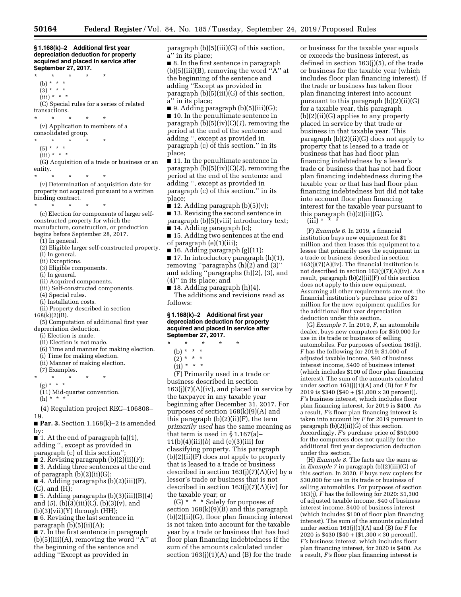**§ 1.168(k)–2 Additional first year depreciation deduction for property acquired and placed in service after September 27, 2017.** 

\* \* \* \* \* (b) \* \* \*  $(3) * * * *$  $(iii) * * * *$ (C) Special rules for a series of related transactions. \* \* \* \* \* (v) Application to members of a consolidated group.

- \* \* \* \* \* (5) \* \* \*
- (iii) \* \* \*

- (G) Acquisition of a trade or business or an entity.
- \* \* \* \* \*

(v) Determination of acquisition date for property not acquired pursuant to a written binding contract.

\* \* \* \* \* (c) Election for components of larger selfconstructed property for which the manufacture, construction, or production begins before September 28, 2017.

(1) In general.

- (2) Eligible larger self-constructed property.
- (i) In general.
- (ii) Exceptions.
- (3) Eligible components.
- (i) In general.
- (ii) Acquired components.
- (iii) Self-constructed components.
- (4) Special rules.
- (i) Installation costs.
- (ii) Property described in section 168(k)(2)(B).

(5) Computation of additional first year depreciation deduction.

- (i) Election is made.
- (ii) Election is not made.
- (6) Time and manner for making election.
- (i) Time for making election.
- (ii) Manner of making election.
- (7) Examples.
- \* \* \* \* \*
	- (g) \* \* \*
	- (11) Mid-quarter convention.
	- $(h) * * * *$

(4) Regulation project REG–106808– 19.

■ **Par. 3.** Section 1.168(k)–2 is amended by:

■ 1. At the end of paragraph (a)(1), adding '', except as provided in

paragraph (c) of this section'';

■ 2. Revising paragraph (b)(2)(ii)(F); ■ 3. Adding three sentences at the end

of paragraph (b)(2)(ii)(G);  $\blacksquare$  4. Adding paragraphs (b)(2)(iii)(F),

(G), and (H);

■ 5. Adding paragraphs (b)(3)(iii)(B)(*4*) and (*5*), (b)(3)(iii)(C), (b)(3)(v), and  $(b)(3)(vii)(Y)$  through  $(HH);$ 

■ 6. Revising the last sentence in paragraph (b)(5)(ii)(A);

■ 7. In the first sentence in paragraph  $(b)(5)(iii)(A)$ , removing the word "A" at the beginning of the sentence and adding ''Except as provided in

paragraph (b)(5)(iii)(G) of this section, a'' in its place;

■ 8. In the first sentence in paragraph  $(b)(5)(iii)(B)$ , removing the word "A" at the beginning of the sentence and adding ''Except as provided in paragraph (b)(5)(iii)(G) of this section, a'' in its place;

 $\blacksquare$  9. Adding paragraph (b)(5)(iii)(G); ■ 10. In the penultimate sentence in paragraph (b)(5)(iv)(C)(*1*), removing the period at the end of the sentence and adding '', except as provided in paragraph (c) of this section.'' in its place;

■ 11. In the penultimate sentence in paragraph (b)(5)(iv)(C)(*2*), removing the period at the end of the sentence and adding '', except as provided in paragraph (c) of this section.'' in its place;

■ 12. Adding paragraph  $(b)(5)(v)$ ; ■ 13. Revising the second sentence in paragraph (b)(5)(viii) introductory text;

■ 14. Adding paragraph (c);

- 15. Adding two sentences at the end of paragraph (e)(1)(iii);
- 16. Adding paragraph  $(g)(11)$ ;

■ 17. In introductory paragraph (h)(1), removing "paragraphs  $(h)(2)$  and  $(3)$ " and adding ''paragraphs (h)(2), (3), and (4)'' in its place; and

 $\blacksquare$  18. Adding paragraph (h)(4). The additions and revisions read as follows:

### **§ 1.168(k)–2 Additional first year depreciation deduction for property acquired and placed in service after September 27, 2017.**

- \* \* \* \* \*
	- (b) \* \* \*
	- $(2) * * * *$

 $(ii) * * * *$ 

(F) Primarily used in a trade or business described in section  $163(j)(7)(A)(iv)$ , and placed in service by the taxpayer in any taxable year beginning after December 31, 2017. For purposes of section 168(k)(9)(A) and this paragraph (b)(2)(ii)(F), the term *primarily used* has the same meaning as that term is used in § 1.167(a)– 11(b)(4)(iii)(*b*) and (e)(3)(iii) for classifying property. This paragraph (b)(2)(ii)(F) does not apply to property that is leased to a trade or business described in section  $163(j)(7)(A)(iv)$  by a lessor's trade or business that is not described in section  $163(j)(7)(A)(iv)$  for the taxable year; or

(G) \* \* \* Solely for purposes of section  $168(k)(9)(B)$  and this paragraph (b)(2)(ii)(G), floor plan financing interest is not taken into account for the taxable year by a trade or business that has had floor plan financing indebtedness if the sum of the amounts calculated under section  $163(j)(1)(A)$  and  $(B)$  for the trade

or business for the taxable year equals or exceeds the business interest, as defined in section 163(j)(5), of the trade or business for the taxable year (which includes floor plan financing interest). If the trade or business has taken floor plan financing interest into account pursuant to this paragraph (b)(2)(ii)(G) for a taxable year, this paragraph (b)(2)(ii)(G) applies to any property placed in service by that trade or business in that taxable year. This paragraph (b)(2)(ii)(G) does not apply to property that is leased to a trade or business that has had floor plan financing indebtedness by a lessor's trade or business that has not had floor plan financing indebtedness during the taxable year or that has had floor plan financing indebtedness but did not take into account floor plan financing interest for the taxable year pursuant to this paragraph (b)(2)(ii)(G).

 $(iii)$  \*

(F) *Example 6.* In 2019, a financial institution buys new equipment for \$1 million and then leases this equipment to a lessee that primarily uses the equipment in a trade or business described in section  $163(j)(7)(A)(iv)$ . The financial institution is not described in section 163(j)(7)(A)(iv). As a result, paragraph (b)(2)(ii)(F) of this section does not apply to this new equipment. Assuming all other requirements are met, the financial institution's purchase price of \$1 million for the new equipment qualifies for the additional first year depreciation deduction under this section.

(G) *Example 7.* In 2019, *F,* an automobile dealer, buys new computers for \$50,000 for use in its trade or business of selling automobiles. For purposes of section 163(j), *F* has the following for 2019: \$1,000 of adjusted taxable income, \$40 of business interest income, \$400 of business interest (which includes \$100 of floor plan financing interest). The sum of the amounts calculated under section 163(j)(1)(A) and (B) for *F* for 2019 is  $$340 ($40 + ($1,000 \times 30$  percent). *F'*s business interest, which includes floor plan financing interest, for 2019 is \$400. As a result, *F'*s floor plan financing interest is taken into account by *F* for 2019 pursuant to paragraph (b)(2)(ii)(G) of this section. Accordingly, *F'*s purchase price of \$50,000 for the computers does not qualify for the additional first year depreciation deduction under this section.

(H) *Example 8.* The facts are the same as in *Example 7* in paragraph (b)(2)(iii)(G) of this section. In 2020, *F* buys new copiers for \$30,000 for use in its trade or business of selling automobiles. For purposes of section 163(j), *F* has the following for 2020: \$1,300 of adjusted taxable income, \$40 of business interest income, \$400 of business interest (which includes \$100 of floor plan financing interest). The sum of the amounts calculated under section 163(j)(1)(A) and (B) for *F* for 2020 is \$430 (\$40 + (\$1,300  $\times$  30 percent)). *F'*s business interest, which includes floor plan financing interest, for 2020 is \$400. As a result, *F'*s floor plan financing interest is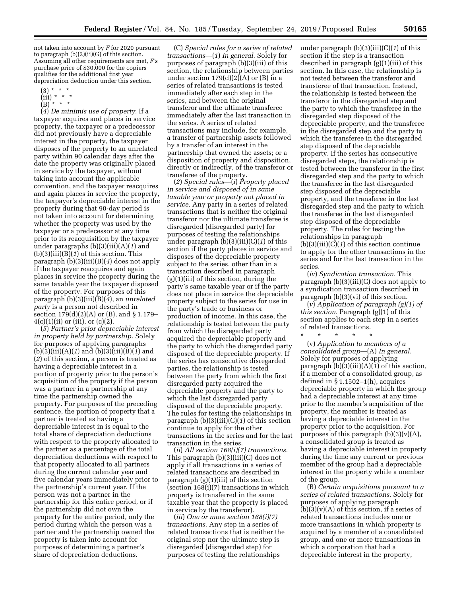not taken into account by *F* for 2020 pursuant to paragraph (b)(2)(ii)(G) of this section. Assuming all other requirements are met, *F'*s purchase price of \$30,000 for the copiers qualifies for the additional first year depreciation deduction under this section.

- $(3) * * * *$
- $(iii) * * * *$
- $(B)$ <sup>\*</sup> \* \*

(*4*) *De minimis use of property.* If a taxpayer acquires and places in service property, the taxpayer or a predecessor did not previously have a depreciable interest in the property, the taxpayer disposes of the property to an unrelated party within 90 calendar days after the date the property was originally placed in service by the taxpayer, without taking into account the applicable convention, and the taxpayer reacquires and again places in service the property, the taxpayer's depreciable interest in the property during that 90-day period is not taken into account for determining whether the property was used by the taxpayer or a predecessor at any time prior to its reacquisition by the taxpayer under paragraphs (b)(3)(iii)(A)(*1*) and (b)(3)(iii)(B)(*1*) of this section. This paragraph (b)(3)(iii)(B)(*4*) does not apply if the taxpayer reacquires and again places in service the property during the same taxable year the taxpayer disposed of the property. For purposes of this paragraph (b)(3)(iii)(B)(*4*), an *unrelated party* is a person not described in section 179(d)(2)(A) or (B), and § 1.179–  $4(c)(1)(ii)$  or (iii), or (c)(2).

(*5*) *Partner's prior depreciable interest in property held by partnership.* Solely for purposes of applying paragraphs (b)(3)(iii)(A)(*1*) and (b)(3)(iii)(B)(*1*) and (*2*) of this section, a person is treated as having a depreciable interest in a portion of property prior to the person's acquisition of the property if the person was a partner in a partnership at any time the partnership owned the property. For purposes of the preceding sentence, the portion of property that a partner is treated as having a depreciable interest in is equal to the total share of depreciation deductions with respect to the property allocated to the partner as a percentage of the total depreciation deductions with respect to that property allocated to all partners during the current calendar year and five calendar years immediately prior to the partnership's current year. If the person was not a partner in the partnership for this entire period, or if the partnership did not own the property for the entire period, only the period during which the person was a partner and the partnership owned the property is taken into account for purposes of determining a partner's share of depreciation deductions.

(C) *Special rules for a series of related transactions*—(*1*) *In general.* Solely for purposes of paragraph (b)(3)(iii) of this section, the relationship between parties under section  $179(d)(2)(A)$  or  $(B)$  in a series of related transactions is tested immediately after each step in the series, and between the original transferor and the ultimate transferee immediately after the last transaction in the series. A series of related transactions may include, for example, a transfer of partnership assets followed by a transfer of an interest in the partnership that owned the assets; or a disposition of property and disposition, directly or indirectly, of the transferor or transferee of the property.

(*2*) *Special rules*—(*i*) *Property placed in service and disposed of in same taxable year or property not placed in service.* Any party in a series of related transactions that is neither the original transferor nor the ultimate transferee is disregarded (disregarded party) for purposes of testing the relationships under paragraph (b)(3)(iii)(C)(*1*) of this section if the party places in service and disposes of the depreciable property subject to the series, other than in a transaction described in paragraph  $(g)(1)(iii)$  of this section, during the party's same taxable year or if the party does not place in service the depreciable property subject to the series for use in the party's trade or business or production of income. In this case, the relationship is tested between the party from which the disregarded party acquired the depreciable property and the party to which the disregarded party disposed of the depreciable property. If the series has consecutive disregarded parties, the relationship is tested between the party from which the first disregarded party acquired the depreciable property and the party to which the last disregarded party disposed of the depreciable property. The rules for testing the relationships in paragraph (b)(3)(iii)(C)(*1*) of this section continue to apply for the other transactions in the series and for the last transaction in the series.

(*ii*) *All section 168(i)(7) transactions.*  This paragraph (b)(3)(iii)(C) does not apply if all transactions in a series of related transactions are described in paragraph (g)(1)(iii) of this section (section 168(i)(7) transactions in which property is transferred in the same taxable year that the property is placed in service by the transferor).

(*iii*) *One or more section 168(i)(7) transactions.* Any step in a series of related transactions that is neither the original step nor the ultimate step is disregarded (disregarded step) for purposes of testing the relationships

under paragraph (b)(3)(iii)(C)(*1*) of this section if the step is a transaction described in paragraph (g)(1)(iii) of this section. In this case, the relationship is not tested between the transferor and transferee of that transaction. Instead, the relationship is tested between the transferor in the disregarded step and the party to which the transferee in the disregarded step disposed of the depreciable property, and the transferee in the disregarded step and the party to which the transferee in the disregarded step disposed of the depreciable property. If the series has consecutive disregarded steps, the relationship is tested between the transferor in the first disregarded step and the party to which the transferee in the last disregarded step disposed of the depreciable property, and the transferee in the last disregarded step and the party to which the transferee in the last disregarded step disposed of the depreciable property. The rules for testing the relationships in paragraph (b)(3)(iii)(C)(*1*) of this section continue to apply for the other transactions in the series and for the last transaction in the series.

(*iv*) *Syndication transaction.* This paragraph (b)(3)(iii)(C) does not apply to a syndication transaction described in paragraph (b)(3)(vi) of this section.

(*v*) *Application of paragraph (g)(1) of this section.* Paragraph (g)(1) of this section applies to each step in a series of related transactions.

\* \* \* \* \*

(v) *Application to members of a consolidated group*—(A) *In general.*  Solely for purposes of applying paragraph (b)(3)(iii)(A)(*1*) of this section, if a member of a consolidated group, as defined in § 1.1502–1(h), acquires depreciable property in which the group had a depreciable interest at any time prior to the member's acquisition of the property, the member is treated as having a depreciable interest in the property prior to the acquisition. For purposes of this paragraph (b)(3)(v)(A), a consolidated group is treated as having a depreciable interest in property during the time any current or previous member of the group had a depreciable interest in the property while a member of the group.

(B) *Certain acquisitions pursuant to a series of related transactions.* Solely for purposes of applying paragraph  $(b)(3)(v)(A)$  of this section, if a series of related transactions includes one or more transactions in which property is acquired by a member of a consolidated group, and one or more transactions in which a corporation that had a depreciable interest in the property,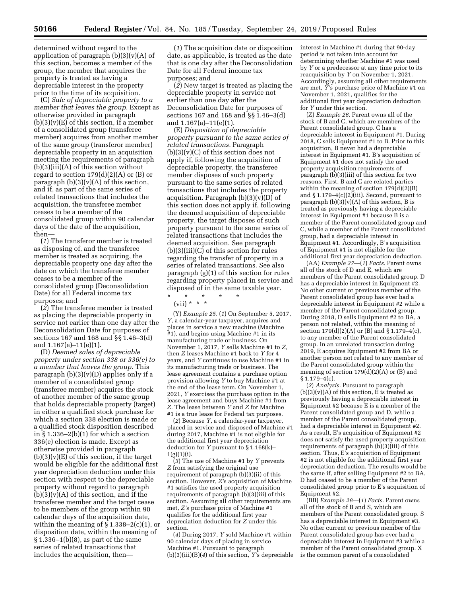determined without regard to the application of paragraph  $(b)(3)(v)(A)$  of this section, becomes a member of the group, the member that acquires the property is treated as having a depreciable interest in the property prior to the time of its acquisition.

(C) *Sale of depreciable property to a member that leaves the group.* Except as otherwise provided in paragraph  $(b)(3)(v)(E)$  of this section, if a member of a consolidated group (transferee member) acquires from another member of the same group (transferor member) depreciable property in an acquisition meeting the requirements of paragraph  $(b)(3)(iii)(A)$  of this section without regard to section  $179(d)(2)(A)$  or  $(B)$  or paragraph  $(b)(3)(v)(A)$  of this section, and if, as part of the same series of related transactions that includes the acquisition, the transferee member ceases to be a member of the consolidated group within 90 calendar days of the date of the acquisition, then—

(*1*) The transferor member is treated as disposing of, and the transferee member is treated as acquiring, the depreciable property one day after the date on which the transferee member ceases to be a member of the consolidated group (Deconsolidation Date) for all Federal income tax purposes; and

(*2*) The transferee member is treated as placing the depreciable property in service not earlier than one day after the Deconsolidation Date for purposes of sections 167 and 168 and §§ 1.46–3(d) and 1.167(a)–11(e)(1).

(D) *Deemed sales of depreciable property under section 338 or 336(e) to a member that leaves the group.* This paragraph  $(b)(3)(v)(D)$  applies only if a member of a consolidated group (transferee member) acquires the stock of another member of the same group that holds depreciable property (target) in either a qualified stock purchase for which a section 338 election is made or a qualified stock disposition described in  $\S 1.336-2(b)(1)$  for which a section 336(e) election is made. Except as otherwise provided in paragraph  $(b)(3)(v)(E)$  of this section, if the target would be eligible for the additional first year depreciation deduction under this section with respect to the depreciable property without regard to paragraph  $(b)(3)(v)(A)$  of this section, and if the transferee member and the target cease to be members of the group within 90 calendar days of the acquisition date, within the meaning of  $\S 1.338-2(c)(1)$ , or disposition date, within the meaning of § 1.336–1(b)(8), as part of the same series of related transactions that includes the acquisition, then—

(*1*) The acquisition date or disposition date, as applicable, is treated as the date that is one day after the Deconsolidation Date for all Federal income tax purposes; and

(*2*) New target is treated as placing the depreciable property in service not earlier than one day after the Deconsolidation Date for purposes of sections 167 and 168 and §§ 1.46–3(d) and 1.167(a)–11(e)(1).

(E) *Disposition of depreciable property pursuant to the same series of related transactions.* Paragraph  $(b)(3)(v)(C)$  of this section does not apply if, following the acquisition of depreciable property, the transferee member disposes of such property pursuant to the same series of related transactions that includes the property acquisition. Paragraph  $(b)(3)(v)(D)$  of this section does not apply if, following the deemed acquisition of depreciable property, the target disposes of such property pursuant to the same series of related transactions that includes the deemed acquisition. See paragraph (b)(3)(iii)(C) of this section for rules regarding the transfer of property in a series of related transactions. See also paragraph (g)(1) of this section for rules regarding property placed in service and disposed of in the same taxable year.

\* \* \* \* \* (vii) \* \* \*

(Y) *Example 25.* (*1*) On September 5, 2017, *Y,* a calendar-year taxpayer, acquires and places in service a new machine (Machine #1), and begins using Machine #1 in its manufacturing trade or business. On November 1, 2017, *Y* sells Machine #1 to *Z,*  then *Z* leases Machine #1 back to *Y* for 4 years, and *Y* continues to use Machine #1 in its manufacturing trade or business. The lease agreement contains a purchase option provision allowing *Y* to buy Machine #1 at the end of the lease term. On November 1, 2021, *Y* exercises the purchase option in the lease agreement and buys Machine #1 from *Z.* The lease between *Y* and *Z* for Machine #1 is a true lease for Federal tax purposes.

(*2*) Because *Y,* a calendar-year taxpayer, placed in service and disposed of Machine #1 during 2017, Machine #1 is not eligible for the additional first year depreciation deduction for *Y* pursuant to § 1.168(k)–  $1(g)(1)(i)$ .

(*3*) The use of Machine #1 by *Y* prevents *Z* from satisfying the original use requirement of paragraph (b)(3)(ii) of this section. However, *Z'*s acquisition of Machine #1 satisfies the used property acquisition requirements of paragraph (b)(3)(iii) of this section. Assuming all other requirements are met, *Z'*s purchase price of Machine #1 qualifies for the additional first year depreciation deduction for *Z* under this section.

(*4*) During 2017, *Y* sold Machine #1 within 90 calendar days of placing in service Machine #1. Pursuant to paragraph (b)(3)(iii)(B)(*4*) of this section, *Y'*s depreciable interest in Machine #1 during that 90-day period is not taken into account for determining whether Machine #1 was used by *Y* or a predecessor at any time prior to its reacquisition by *Y* on November 1, 2021. Accordingly, assuming all other requirements are met, *Y'*s purchase price of Machine #1 on November 1, 2021, qualifies for the additional first year depreciation deduction for *Y* under this section.

(Z) *Example 26.* Parent owns all of the stock of B and C, which are members of the Parent consolidated group. C has a depreciable interest in Equipment #1. During 2018, C sells Equipment #1 to B. Prior to this acquisition, B never had a depreciable interest in Equipment #1. B's acquisition of Equipment  $\hat{A}$  does not satisfy the used property acquisition requirements of paragraph (b)(3)(iii) of this section for two reasons. First, B and C are related parties within the meaning of section 179(d)(2)(B) and  $\S 1.179-4(c)(2)(iii)$ . Second, pursuant to paragraph  $(b)(3)(v)(A)$  of this section, B is treated as previously having a depreciable interest in Equipment #1 because B is a member of the Parent consolidated group and C, while a member of the Parent consolidated group, had a depreciable interest in Equipment #1. Accordingly, B's acquisition of Equipment #1 is not eligible for the additional first year depreciation deduction.

(AA) *Example 27*—(*1*) *Facts.* Parent owns all of the stock of D and E, which are members of the Parent consolidated group. D has a depreciable interest in Equipment #2. No other current or previous member of the Parent consolidated group has ever had a depreciable interest in Equipment #2 while a member of the Parent consolidated group. During 2018, D sells Equipment #2 to BA, a person not related, within the meaning of section 179(d)(2)(A) or (B) and § 1.179–4(c), to any member of the Parent consolidated group. In an unrelated transaction during 2019, E acquires Equipment #2 from BA or another person not related to any member of the Parent consolidated group within the meaning of section  $179(d)(2)(A)$  or (B) and § 1.179–4(c).

(*2*) *Analysis.* Pursuant to paragraph  $(b)(3)(v)(A)$  of this section, E is treated as previously having a depreciable interest in Equipment #2 because E is a member of the Parent consolidated group and D, while a member of the Parent consolidated group, had a depreciable interest in Equipment #2. As a result, E's acquisition of Equipment #2 does not satisfy the used property acquisition requirements of paragraph (b)(3)(iii) of this section. Thus, E's acquisition of Equipment #2 is not eligible for the additional first year depreciation deduction. The results would be the same if, after selling Equipment #2 to BA, D had ceased to be a member of the Parent consolidated group prior to E's acquisition of Equipment #2.

(BB) *Example 28*—(*1*) *Facts.* Parent owns all of the stock of B and S, which are members of the Parent consolidated group. S has a depreciable interest in Equipment #3. No other current or previous member of the Parent consolidated group has ever had a depreciable interest in Equipment #3 while a member of the Parent consolidated group. X is the common parent of a consolidated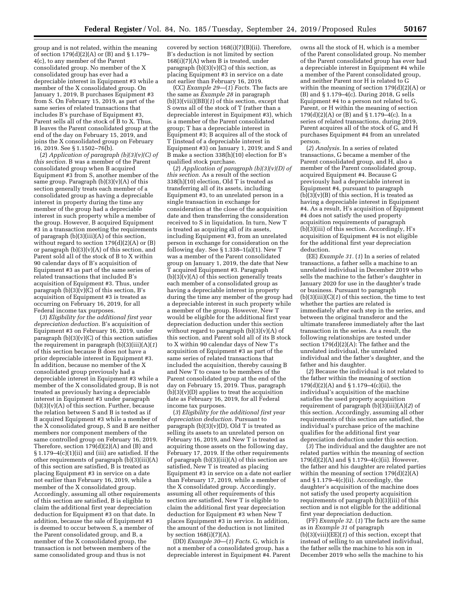group and is not related, within the meaning of section 179(d)(2)(A) or (B) and § 1.179– 4(c), to any member of the Parent consolidated group. No member of the X consolidated group has ever had a depreciable interest in Equipment #3 while a member of the X consolidated group. On January 1, 2019, B purchases Equipment #3 from S. On February 15, 2019, as part of the same series of related transactions that includes B's purchase of Equipment #3, Parent sells all of the stock of B to X. Thus, B leaves the Parent consolidated group at the end of the day on February 15, 2019, and joins the X consolidated group on February 16, 2019. See § 1.1502–76(b).

(*2*) *Application of paragraph (b)(3)(v)(C) of this section.* B was a member of the Parent consolidated group when B acquired Equipment #3 from S, another member of the same group. Paragraph  $(b)(3)(v)(A)$  of this section generally treats each member of a consolidated group as having a depreciable interest in property during the time any member of the group had a depreciable interest in such property while a member of the group. However, B acquired Equipment #3 in a transaction meeting the requirements of paragraph (b)(3)(iii)(A) of this section, without regard to section  $179(d)(2)(A)$  or  $(B)$ or paragraph  $(b)(3)(v)(A)$  of this section, and Parent sold all of the stock of B to X within 90 calendar days of B's acquisition of Equipment #3 as part of the same series of related transactions that included B's acquisition of Equipment #3. Thus, under paragraph  $(b)(3)(v)(C)$  of this section, B's acquisition of Equipment #3 is treated as occurring on February 16, 2019, for all Federal income tax purposes.

(*3*) *Eligibility for the additional first year depreciation deduction.* B's acquisition of Equipment #3 on February 16, 2019, under paragraph  $(b)(3)(v)(C)$  of this section satisfies the requirement in paragraph (b)(3)(iii)(A)(*1*) of this section because B does not have a prior depreciable interest in Equipment #3. In addition, because no member of the X consolidated group previously had a depreciable interest in Equipment #3 while a member of the X consolidated group, B is not treated as previously having a depreciable interest in Equipment #3 under paragraph  $(b)(3)(v)(A)$  of this section. Further, because the relation between S and B is tested as if B acquired Equipment #3 while a member of the  $\overline{X}$  consolidated group,  $S$  and  $B$  are neither members nor component members of the same controlled group on February 16, 2019. Therefore, section  $179(d)(2)(A)$  and (B) and  $\S 1.179-4(c)(1)(ii)$  and (iii) are satisfied. If the other requirements of paragraph (b)(3)(iii)(A) of this section are satisfied, B is treated as placing Equipment #3 in service on a date not earlier than February 16, 2019, while a member of the X consolidated group. Accordingly, assuming all other requirements of this section are satisfied, B is eligible to claim the additional first year depreciation deduction for Equipment #3 on that date. In addition, because the sale of Equipment #3 is deemed to occur between S, a member of the Parent consolidated group, and B, a member of the X consolidated group, the transaction is not between members of the same consolidated group and thus is not

covered by section 168(i)(7)(B)(ii). Therefore, B's deduction is not limited by section 168(i)(7)(A) when B is treated, under paragraph  $(b)(3)(v)(C)$  of this section, as placing Equipment #3 in service on a date not earlier than February 16, 2019.

(CC) *Example 29*—(*1*) *Facts.* The facts are the same as *Example 28* in paragraph (b)(3)(viii)(BB)(*1*) of this section, except that S owns all of the stock of T (rather than a depreciable interest in Equipment #3), which is a member of the Parent consolidated group; T has a depreciable interest in Equipment #3; B acquires all of the stock of T (instead of a depreciable interest in Equipment #3) on January 1, 2019; and S and B make a section 338(h)(10) election for B's qualified stock purchase.

(*2*) *Application of paragraph (b)(3)(v)(D) of this section.* As a result of the section 338(h)(10) election, Old T is treated as transferring all of its assets, including Equipment #3, to an unrelated person in a single transaction in exchange for consideration at the close of the acquisition date and then transferring the consideration received to S in liquidation. In turn, New T is treated as acquiring all of its assets, including Equipment #3, from an unrelated person in exchange for consideration on the following day. See § 1.338–1(a)(1). New T was a member of the Parent consolidated group on January 1, 2019, the date that New T acquired Equipment #3. Paragraph  $(b)(3)(v)(A)$  of this section generally treats each member of a consolidated group as having a depreciable interest in property during the time any member of the group had a depreciable interest in such property while a member of the group. However, New T would be eligible for the additional first year depreciation deduction under this section without regard to paragraph  $(b)(3)(v)(A)$  of this section, and Parent sold all of its B stock to X within 90 calendar days of New T's acquisition of Equipment #3 as part of the same series of related transactions that included the acquisition, thereby causing B and New T to cease to be members of the Parent consolidated group at the end of the day on February 15, 2019. Thus, paragraph  $(b)(3)(v)(D)$  applies to treat the acquisition date as February 16, 2019, for all Federal income tax purposes.

(*3*) *Eligibility for the additional first year depreciation deduction.* Pursuant to paragraph  $(b)(3)(v)(D)$ , Old T is treated as selling its assets to an unrelated person on February 16, 2019, and New T is treated as acquiring those assets on the following day, February 17, 2019. If the other requirements of paragraph (b)(3)(iii)(A) of this section are satisfied, New T is treated as placing Equipment #3 in service on a date not earlier than February 17, 2019, while a member of the X consolidated group. Accordingly, assuming all other requirements of this section are satisfied, New T is eligible to claim the additional first year depreciation deduction for Equipment #3 when New T places Equipment #3 in service. In addition, the amount of the deduction is not limited by section  $168(i)(7)(A)$ .

(DD) *Example 30*—(*1*) *Facts.* G, which is not a member of a consolidated group, has a depreciable interest in Equipment #4. Parent owns all the stock of H, which is a member of the Parent consolidated group. No member of the Parent consolidated group has ever had a depreciable interest in Equipment #4 while a member of the Parent consolidated group, and neither Parent nor H is related to G within the meaning of section 179(d)(2)(A) or (B) and § 1.179–4(c). During 2018, G sells Equipment #4 to a person not related to G, Parent, or H within the meaning of section 179(d)(2)(A) or (B) and § 1.179–4(c). In a series of related transactions, during 2019, Parent acquires all of the stock of G, and H purchases Equipment #4 from an unrelated person.

(*2*) *Analysis.* In a series of related transactions, G became a member of the Parent consolidated group, and H, also a member of the Parent consolidated group, acquired Equipment #4. Because G previously had a depreciable interest in Equipment #4, pursuant to paragraph  $(b)(3)(v)(B)$  of this section,  $\tilde{H}$  is treated as having a depreciable interest in Equipment #4. As a result, H's acquisition of Equipment #4 does not satisfy the used property acquisition requirements of paragraph  $(b)(3)(iii)$  of this section. Accordingly, H's acquisition of Equipment #4 is not eligible for the additional first year depreciation deduction.

(EE) *Example 31.* (*1*) In a series of related transactions, a father sells a machine to an unrelated individual in December 2019 who sells the machine to the father's daughter in January 2020 for use in the daughter's trade or business. Pursuant to paragraph  $(b)(3)(iii)(C)(1)$  of this section, the time to test whether the parties are related is immediately after each step in the series, and between the original transferor and the ultimate transferee immediately after the last transaction in the series. As a result, the following relationships are tested under section 179(d)(2)(A): The father and the unrelated individual, the unrelated individual and the father's daughter, and the father and his daughter.

(*2*) Because the individual is not related to the father within the meaning of section 179(d)(2)(A) and § 1.179–4(c)(ii), the individual's acquisition of the machine satisfies the used property acquisition requirement of paragraph (b)(3)(iii)(A)(*2*) of this section. Accordingly, assuming all other requirements of this section are satisfied, the individual's purchase price of the machine qualifies for the additional first year depreciation deduction under this section.

(*3*) The individual and the daughter are not related parties within the meaning of section  $179(d)(\hat{2})(A)$  and § 1.179–4(c)(ii). However, the father and his daughter are related parties within the meaning of section 179(d)(2)(A) and § 1.179–4(c)(ii). Accordingly, the daughter's acquisition of the machine does not satisfy the used property acquisition requirements of paragraph (b)(3)(iii) of this section and is not eligible for the additional first year depreciation deduction.

(FF) *Example 32.* (*1*) The facts are the same as in *Example 31* of paragraph (b)(3)(viii)(EE)(*1*) of this section, except that instead of selling to an unrelated individual, the father sells the machine to his son in December 2019 who sells the machine to his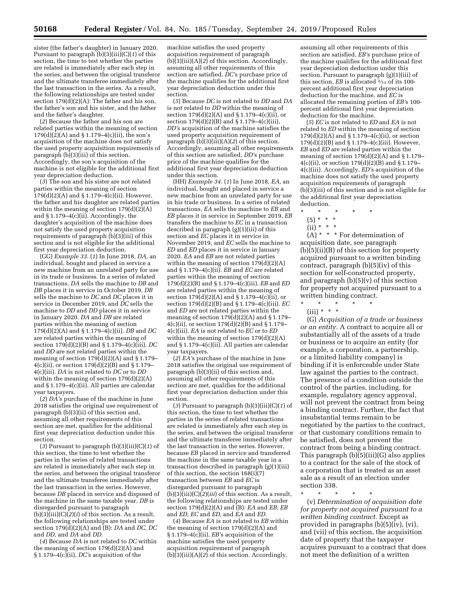sister (the father's daughter) in January 2020. Pursuant to paragraph (b)(3)(iii)(C)(*1*) of this section, the time to test whether the parties are related is immediately after each step in the series, and between the original transferor and the ultimate transferee immediately after the last transaction in the series. As a result, the following relationships are tested under section  $179\text{d}$ (2)(A): The father and his son, the father's son and his sister, and the father and the father's daughter.

(*2*) Because the father and his son are related parties within the meaning of section  $179(d)(\bar{2})(A)$  and § 1.179–4(c)(ii), the son's acquisition of the machine does not satisfy the used property acquisition requirements of paragraph  $(b)(3)(iii)$  of this section. Accordingly, the son's acquisition of the machine is not eligible for the additional first year depreciation deduction.

(*3*) The son and his sister are not related parties within the meaning of section 179(d)(2)(A) and § 1.179–4(c)(ii). However, the father and his daughter are related parties within the meaning of section  $179(d)(2)(A)$ and § 1.179–4(c)(ii). Accordingly, the daughter's acquisition of the machine does not satisfy the used property acquisition requirements of paragraph (b)(3)(iii) of this section and is not eligible for the additional first year depreciation deduction.

(GG) *Example 33.* (*1*) In June 2018, *DA,* an individual, bought and placed in service a new machine from an unrelated party for use in its trade or business. In a series of related transactions, *DA* sells the machine to *DB* and *DB* places it in service in October 2019, *DB*  sells the machine to *DC* and *DC* places it in service in December 2019, and *DC* sells the machine to *DD* and *DD* places it in service in January 2020. *DA* and *DB* are related parties within the meaning of section 179(d)(2)(A) and § 1.179–4(c)(ii). *DB* and *DC*  are related parties within the meaning of section 179(d)(2)(B) and § 1.179–4(c)(iii). *DC*  and *DD* are not related parties within the meaning of section  $179(d)(2)(A)$  and § 1.179– 4(c)(ii), or section  $179(d)(2)(B)$  and § 1.179– 4(c)(iii). *DA* is not related to *DC* or to *DD*  within the meaning of section  $179(d)(2)(A)$ and § 1.179–4(c)(ii). All parties are calendar year taxpayers.

(*2*) *DA'*s purchase of the machine in June 2018 satisfies the original use requirement of paragraph (b)(3)(ii) of this section and, assuming all other requirements of this section are met, qualifies for the additional first year depreciation deduction under this section.

(*3*) Pursuant to paragraph (b)(3)(iii)(C)(*1*) of this section, the time to test whether the parties in the series of related transactions are related is immediately after each step in the series, and between the original transferor and the ultimate transferee immediately after the last transaction in the series. However, because *DB* placed in service and disposed of the machine in the same taxable year, *DB* is disregarded pursuant to paragraph  $(b)(3)(iii)(C)(2)(i)$  of this section. As a result, the following relationships are tested under section  $179\text{d}$ (2)(A) and  $\text{d}$  (B): *DA* and *DC*, *DC* and *DD,* and *DA* and *DD.* 

(*4*) Because *DA* is not related to *DC* within the meaning of section 179(d)(2)(A) and § 1.179–4(c)(ii), *DC'*s acquisition of the

machine satisfies the used property acquisition requirement of paragraph (b)(3)(iii)(A)(*2*) of this section. Accordingly, assuming all other requirements of this section are satisfied, *DC'*s purchase price of the machine qualifies for the additional first year depreciation deduction under this section.

(*5*) Because *DC* is not related to *DD* and *DA*  is not related to *DD* within the meaning of section  $179(d)(2)(A)$  and § 1.179–4(c)(ii), or section 179(d)(2)(B) and § 1.179–4(c)(iii), *DD'*s acquisition of the machine satisfies the used property acquisition requirement of paragraph  $(b)(3)(iii)(A)(2)$  of this section. Accordingly, assuming all other requirements of this section are satisfied, *DD'*s purchase price of the machine qualifies for the additional first year depreciation deduction under this section.

(HH) *Example 34.* (*1*) In June 2018, *EA,* an individual, bought and placed in service a new machine from an unrelated party for use in his trade or business. In a series of related transactions, *EA* sells the machine to *EB* and *EB* places it in service in September 2019, *EB*  transfers the machine to *EC* in a transaction described in paragraph (g)(1)(iii) of this section and *EC* places it in service in November 2019, and *EC* sells the machine to *ED* and *ED* places it in service in January 2020. *EA* and *EB* are not related parties within the meaning of section 179(d)(2)(A) and § 1.179–4(c)(ii). *EB* and *EC* are related parties within the meaning of section 179(d)(2)(B) and § 1.179–4(c)(iii). *EB* and *ED*  are related parties within the meaning of section  $179(d)(2)(A)$  and § 1.179–4(c)(ii), or section 179(d)(2)(B) and § 1.179–4(c)(iii). *EC*  and *ED* are not related parties within the meaning of section  $179(d)(2)(A)$  and § 1.179– 4(c)(ii), or section 179(d)(2)(B) and § 1.179– 4(c)(iii). *EA* is not related to *EC* or to *ED*  within the meaning of section 179(d)(2)(A) and § 1.179–4(c)(ii). All parties are calendar year taxpayers.

(*2*) *EA'*s purchase of the machine in June 2018 satisfies the original use requirement of paragraph (b)(3)(ii) of this section and, assuming all other requirements of this section are met, qualifies for the additional first year depreciation deduction under this section.

(*3*) Pursuant to paragraph (b)(3)(iii)(C)(*1*) of this section, the time to test whether the parties in the series of related transactions are related is immediately after each step in the series, and between the original transferor and the ultimate transferee immediately after the last transaction in the series. However, because *EB* placed in service and transferred the machine in the same taxable year in a transaction described in paragraph (g)(1)(iii) of this section, the section 168(i)(7) transaction between *EB* and *EC* is disregarded pursuant to paragraph  $(b)(3)$ (iii)(C)( $2$ )(*iii*) of this section. As a result, the following relationships are tested under section 179(d)(2)(A) and (B): *EA* and *EB, EB*  and *ED, EC* and *ED,* and *EA* and *ED.* 

(*4*) Because *EA* is not related to *EB* within the meaning of section 179(d)(2)(A) and § 1.179–4(c)(ii), *EB'*s acquisition of the machine satisfies the used property acquisition requirement of paragraph (b)(3)(iii)(A)(*2*) of this section. Accordingly,

assuming all other requirements of this section are satisfied, *EB'*s purchase price of the machine qualifies for the additional first year depreciation deduction under this section. Pursuant to paragraph (g)(1)(iii) of this section, *EB* is allocated  $\frac{2}{12}$  of its 100percent additional first year depreciation deduction for the machine, and *EC* is allocated the remaining portion of *EB'*s 100 percent additional first year depreciation deduction for the machine.

(*5*) *EC* is not related to *ED* and *EA* is not related to *ED* within the meaning of section 179(d)(2)(A) and § 1.179–4(c)(ii), or section 179(d)(2)(B) and § 1.179–4(c)(iii). However, *EB* and *ED* are related parties within the meaning of section  $179(d)(2)(A)$  and § 1.179– 4(c)(ii), or section 179(d)(2)(B) and § 1.179– 4(c)(iii). Accordingly, *ED'*s acquisition of the machine does not satisfy the used property acquisition requirements of paragraph (b)(3)(iii) of this section and is not eligible for the additional first year depreciation deduction.

- \* \* \* \* \*
	- (5) \* \* \*
	- (ii) \* \* \*

 $(A)$  \* \* \* For determination of acquisition date, see paragraph (b)(5)(ii)(B) of this section for property acquired pursuant to a written binding contract, paragraph (b)(5)(iv) of this section for self-constructed property, and paragraph  $(b)(5)(v)$  of this section for property not acquired pursuant to a written binding contract.

- \* \* \* \* \*
- (iii) \* \* \*

(G) *Acquisition of a trade or business or an entity.* A contract to acquire all or substantially all of the assets of a trade or business or to acquire an entity (for example, a corporation, a partnership, or a limited liability company) is binding if it is enforceable under State law against the parties to the contract. The presence of a condition outside the control of the parties, including, for example, regulatory agency approval, will not prevent the contract from being a binding contract. Further, the fact that insubstantial terms remain to be negotiated by the parties to the contract, or that customary conditions remain to be satisfied, does not prevent the contract from being a binding contract. This paragraph (b)(5)(iii)(G) also applies to a contract for the sale of the stock of a corporation that is treated as an asset sale as a result of an election under section 338.

\* \* \* \* \*

(v) *Determination of acquisition date for property not acquired pursuant to a written binding contract.* Except as provided in paragraphs (b)(5)(iv), (vi), and (vii) of this section, the acquisition date of property that the taxpayer acquires pursuant to a contract that does not meet the definition of a written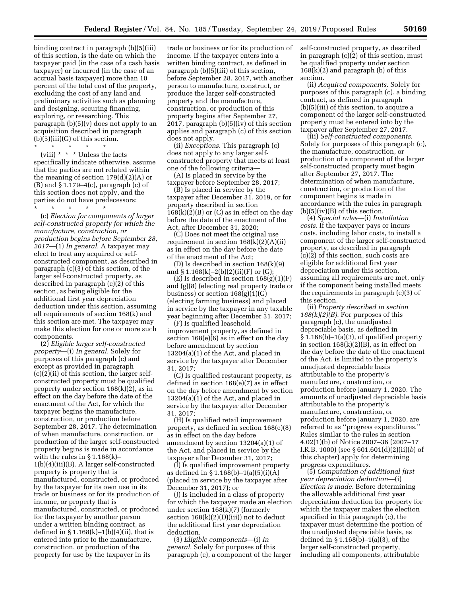binding contract in paragraph (b)(5)(iii) of this section, is the date on which the taxpayer paid (in the case of a cash basis taxpayer) or incurred (in the case of an accrual basis taxpayer) more than 10 percent of the total cost of the property, excluding the cost of any land and preliminary activities such as planning and designing, securing financing, exploring, or researching. This paragraph (b)(5)(v) does not apply to an acquisition described in paragraph  $(b)(5)(iii)(G)$  of this section.

\* \* \* \* \*

(viii)  $* * *$  Unless the facts specifically indicate otherwise, assume that the parties are not related within the meaning of section  $179(d)(2)(A)$  or  $(B)$  and  $\S 1.179-4(c)$ , paragraph  $(c)$  of this section does not apply, and the parties do not have predecessors:

\* \* \* \* \*

(c) *Election for components of larger self-constructed property for which the manufacture, construction, or production begins before September 28, 2017*—(1) *In general.* A taxpayer may elect to treat any acquired or selfconstructed component, as described in paragraph (c)(3) of this section, of the larger self-constructed property, as described in paragraph (c)(2) of this section, as being eligible for the additional first year depreciation deduction under this section, assuming all requirements of section 168(k) and this section are met. The taxpayer may make this election for one or more such components.

(2) *Eligible larger self-constructed property*—(i) *In general.* Solely for purposes of this paragraph (c) and except as provided in paragraph (c)(2)(ii) of this section, the larger selfconstructed property must be qualified property under section 168(k)(2), as in effect on the day before the date of the enactment of the Act, for which the taxpayer begins the manufacture, construction, or production before September 28, 2017. The determination of when manufacture, construction, or production of the larger self-constructed property begins is made in accordance with the rules in § 1.168(k)– 1(b)(4)(iii)(B). A larger self-constructed property is property that is manufactured, constructed, or produced by the taxpayer for its own use in its trade or business or for its production of income, or property that is manufactured, constructed, or produced for the taxpayer by another person under a written binding contract, as defined in  $\S 1.168(k)-1(b)(4)(ii)$ , that is entered into prior to the manufacture, construction, or production of the property for use by the taxpayer in its

trade or business or for its production of income. If the taxpayer enters into a written binding contract, as defined in paragraph (b)(5)(iii) of this section, before September 28, 2017, with another person to manufacture, construct, or produce the larger self-constructed property and the manufacture, construction, or production of this property begins after September 27, 2017, paragraph (b)(5)(iv) of this section applies and paragraph (c) of this section does not apply.

(ii) *Exceptions.* This paragraph (c) does not apply to any larger selfconstructed property that meets at least one of the following criteria—

(A) Is placed in service by the taxpayer before September 28, 2017;

(B) Is placed in service by the taxpayer after December 31, 2019, or for property described in section  $168(k)(2)(B)$  or  $(C)$  as in effect on the day before the date of the enactment of the Act, after December 31, 2020;

(C) Does not meet the original use requirement in section  $168(k)(2)(A)(ii)$ as in effect on the day before the date of the enactment of the Act;

(D) Is described in section 168(k)(9) and  $\S 1.168(k) - 2(b)(2)(ii)(F)$  or (G);

(E) Is described in section  $168(g)(1)(F)$ and (g)(8) (electing real property trade or business) or section  $168(g)(1)(G)$ (electing farming business) and placed in service by the taxpayer in any taxable year beginning after December 31, 2017;

(F) Is qualified leasehold improvement property, as defined in section 168(e)(6) as in effect on the day before amendment by section 13204(a)(1) of the Act, and placed in service by the taxpayer after December 31, 2017;

(G) Is qualified restaurant property, as defined in section 168(e)(7) as in effect on the day before amendment by section 13204(a)(1) of the Act, and placed in service by the taxpayer after December 31, 2017;

(H) Is qualified retail improvement property, as defined in section 168(e)(8) as in effect on the day before amendment by section 13204(a)(1) of the Act, and placed in service by the taxpayer after December 31, 2017;

(I) Is qualified improvement property as defined in § 1.168(b)–1(a)(5)(i)(A) (placed in service by the taxpayer after December 31, 2017); or

(J) Is included in a class of property for which the taxpayer made an election under section 168(k)(7) (formerly section  $168(k)(2)(D)(iii)$  not to deduct the additional first year depreciation deduction.

(3) *Eligible components*—(i) *In general.* Solely for purposes of this paragraph (c), a component of the larger self-constructed property, as described in paragraph (c)(2) of this section, must be qualified property under section  $168(k)(2)$  and paragraph (b) of this section.

(ii) *Acquired components.* Solely for purposes of this paragraph (c), a binding contract, as defined in paragraph (b)(5)(iii) of this section, to acquire a component of the larger self-constructed property must be entered into by the taxpayer after September 27, 2017.

(iii) *Self-constructed components.*  Solely for purposes of this paragraph (c), the manufacture, construction, or production of a component of the larger self-constructed property must begin after September 27, 2017. The determination of when manufacture, construction, or production of the component begins is made in accordance with the rules in paragraph  $(b)(5)(iv)(B)$  of this section.

(4) *Special rules*—(i) *Installation costs.* If the taxpayer pays or incurs costs, including labor costs, to install a component of the larger self-constructed property, as described in paragraph (c)(2) of this section, such costs are eligible for additional first year depreciation under this section, assuming all requirements are met, only if the component being installed meets the requirements in paragraph (c)(3) of this section.

(ii) *Property described in section 168(k)(2)(B).* For purposes of this paragraph (c), the unadjusted depreciable basis, as defined in § 1.168(b)–1(a)(3), of qualified property in section  $168(k)(2)(B)$ , as in effect on the day before the date of the enactment of the Act, is limited to the property's unadjusted depreciable basis attributable to the property's manufacture, construction, or production before January 1, 2020. The amounts of unadjusted depreciable basis attributable to the property's manufacture, construction, or production before January 1, 2020, are referred to as ''progress expenditures.'' Rules similar to the rules in section 4.02(1)(b) of Notice 2007–36 (2007–17 I.R.B. 1000) (see § 601.601(d)(2)(ii)(*b*) of this chapter) apply for determining progress expenditures.

(5) *Computation of additional first year depreciation deduction*—(i) *Election is made.* Before determining the allowable additional first year depreciation deduction for property for which the taxpayer makes the election specified in this paragraph (c), the taxpayer must determine the portion of the unadjusted depreciable basis, as defined in § 1.168(b)–1(a)(3), of the larger self-constructed property, including all components, attributable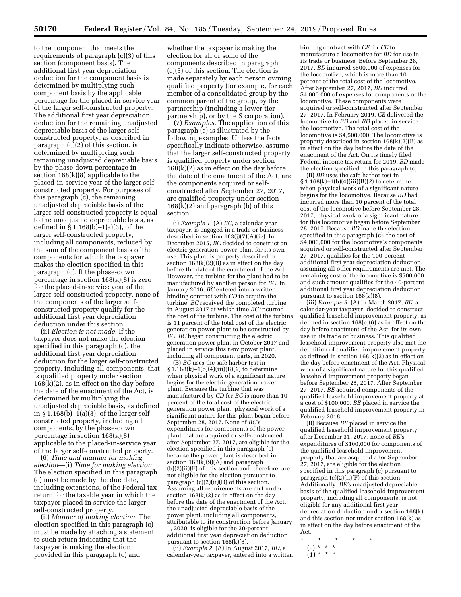to the component that meets the requirements of paragraph (c)(3) of this section (component basis). The additional first year depreciation deduction for the component basis is determined by multiplying such component basis by the applicable percentage for the placed-in-service year of the larger self-constructed property. The additional first year depreciation deduction for the remaining unadjusted depreciable basis of the larger selfconstructed property, as described in paragraph (c)(2) of this section, is determined by multiplying such remaining unadjusted depreciable basis by the phase-down percentage in section 168(k)(8) applicable to the placed-in-service year of the larger selfconstructed property. For purposes of this paragraph (c), the remaining unadjusted depreciable basis of the larger self-constructed property is equal to the unadjusted depreciable basis, as defined in § 1.168(b)–1(a)(3), of the larger self-constructed property, including all components, reduced by the sum of the component basis of the components for which the taxpayer makes the election specified in this paragraph (c). If the phase-down percentage in section 168(k)(8) is zero for the placed-in-service year of the larger self-constructed property, none of the components of the larger selfconstructed property qualify for the additional first year depreciation deduction under this section.

(ii) *Election is not made.* If the taxpayer does not make the election specified in this paragraph (c), the additional first year depreciation deduction for the larger self-constructed property, including all components, that is qualified property under section  $168(k)(2)$ , as in effect on the day before the date of the enactment of the Act, is determined by multiplying the unadjusted depreciable basis, as defined in  $\S 1.168(b) - 1(a)(3)$ , of the larger selfconstructed property, including all components, by the phase-down percentage in section 168(k)(8) applicable to the placed-in-service year of the larger self-constructed property.

(6) *Time and manner for making election*—(i) *Time for making election.*  The election specified in this paragraph (c) must be made by the due date, including extensions, of the Federal tax return for the taxable year in which the taxpayer placed in service the larger self-constructed property.

(ii) *Manner of making election.* The election specified in this paragraph (c) must be made by attaching a statement to such return indicating that the taxpayer is making the election provided in this paragraph (c) and

whether the taxpayer is making the election for all or some of the components described in paragraph (c)(3) of this section. The election is made separately by each person owning qualified property (for example, for each member of a consolidated group by the common parent of the group, by the partnership (including a lower-tier partnership), or by the S corporation).

(7) *Examples.* The application of this paragraph (c) is illustrated by the following examples. Unless the facts specifically indicate otherwise, assume that the larger self-constructed property is qualified property under section 168(k)(2) as in effect on the day before the date of the enactment of the Act, and the components acquired or selfconstructed after September 27, 2017, are qualified property under section  $168(k)(2)$  and paragraph (b) of this section.

(i) *Example 1.* (A) *BC,* a calendar year taxpayer, is engaged in a trade or business described in section 163(j)(7)(A)(iv). In December 2015, *BC* decided to construct an electric generation power plant for its own use. This plant is property described in section  $168(k)(2)(\bar{B})$  as in effect on the day before the date of the enactment of the Act. However, the turbine for the plant had to be manufactured by another person for *BC.* In January 2016, *BC* entered into a written binding contract with *CD* to acquire the turbine. *BC* received the completed turbine in August 2017 at which time *BC* incurred the cost of the turbine. The cost of the turbine is 11 percent of the total cost of the electric generation power plant to be constructed by *BC. BC* began constructing the electric generation power plant in October 2017 and placed in service this new power plant, including all component parts, in 2020.

(B) *BC* uses the safe harbor test in § 1.168(k)–1(b)(4)(iii)(B)(*2*) to determine when physical work of a significant nature begins for the electric generation power plant. Because the turbine that was manufactured by *CD* for *BC* is more than 10 percent of the total cost of the electric generation power plant, physical work of a significant nature for this plant began before September 28, 2017. None of *BC'*s expenditures for components of the power plant that are acquired or self-constructed after September 27, 2017, are eligible for the election specified in this paragraph (c) because the power plant is described in section  $168(\text{k})(9)(\text{A})$  and paragraph (b)(2)(ii)(F) of this section and, therefore, are not eligible for the election pursuant to paragraph  $(c)(2)(ii)(D)$  of this section. Assuming all requirements are met under section 168(k)(2) as in effect on the day before the date of the enactment of the Act, the unadjusted depreciable basis of the power plant, including all components, attributable to its construction before January 1, 2020, is eligible for the 30-percent additional first year depreciation deduction pursuant to section 168(k)(8).

(ii) *Example 2.* (A) In August 2017, *BD,* a calendar-year taxpayer, entered into a written binding contract with *CE* for *CE* to manufacture a locomotive for *BD* for use in its trade or business. Before September 28, 2017, *BD* incurred \$500,000 of expenses for the locomotive, which is more than 10 percent of the total cost of the locomotive. After September 27, 2017, *BD* incurred \$4,000,000 of expenses for components of the locomotive. These components were acquired or self-constructed after September 27, 2017. In February 2019, *CE* delivered the locomotive to *BD* and *BD* placed in service the locomotive. The total cost of the locomotive is \$4,500,000. The locomotive is property described in section 168(k)(2)(B) as in effect on the day before the date of the enactment of the Act. On its timely filed Federal income tax return for 2019, *BD* made the election specified in this paragraph (c).

(B) *BD* uses the safe harbor test in § 1.168(k)–1(b)(4)(iii)(B)(*2*) to determine when physical work of a significant nature begins for the locomotive. Because *BD* had incurred more than 10 percent of the total cost of the locomotive before September 28, 2017, physical work of a significant nature for this locomotive began before September 28, 2017. Because *BD* made the election specified in this paragraph (c), the cost of \$4,000,000 for the locomotive's components acquired or self-constructed after September 27, 2017, qualifies for the 100-percent additional first year depreciation deduction, assuming all other requirements are met. The remaining cost of the locomotive is \$500,000 and such amount qualifies for the 40-percent additional first year depreciation deduction pursuant to section  $168(k)(8)$ .

(iii) *Example 3.* (A) In March 2017, *BE,* a calendar-year taxpayer, decided to construct qualified leasehold improvement property, as defined in section 168(e)(6) as in effect on the day before enactment of the Act, for its own use in its trade or business. This qualified leasehold improvement property also met the definition of qualified improvement property as defined in section 168(k)(3) as in effect on the day before enactment of the Act. Physical work of a significant nature for this qualified leasehold improvement property began before September 28, 2017. After September 27, 2017, *BE* acquired components of the qualified leasehold improvement property at a cost of \$100,000. *BE* placed in service the qualified leasehold improvement property in February 2018.

(B) Because *BE* placed in service the qualified leasehold improvement property after December 31, 2017, none of *BE'*s expenditures of \$100,000 for components of the qualified leasehold improvement property that are acquired after September 27, 2017, are eligible for the election specified in this paragraph (c) pursuant to paragraph (c)(2)(ii)(F) of this section. Additionally, *BE'*s unadjusted depreciable basis of the qualified leasehold improvement property, including all components, is not eligible for any additional first year depreciation deduction under section 168(k) and this section nor under section 168(k) as in effect on the day before enactment of the Act.

- \* \* \* \* \* (e) \* \* \*
- $(1) * * * *$